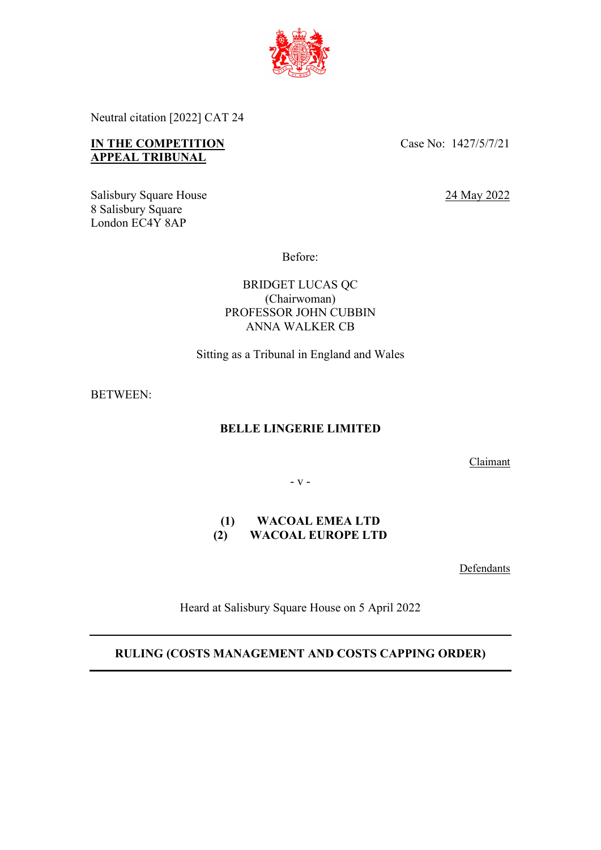

Neutral citation [2022] CAT 24

# **IN THE COMPETITION APPEAL TRIBUNAL**

Case No: 1427/5/7/21

24 May 2022

Salisbury Square House 8 Salisbury Square London EC4Y 8AP

Before:

BRIDGET LUCAS QC (Chairwoman) PROFESSOR JOHN CUBBIN ANNA WALKER CB

Sitting as a Tribunal in England and Wales

BETWEEN:

# **BELLE LINGERIE LIMITED**

Claimant

- v -

## **(1) WACOAL EMEA LTD (2) WACOAL EUROPE LTD**

**Defendants** 

Heard at Salisbury Square House on 5 April 2022

# **RULING (COSTS MANAGEMENT AND COSTS CAPPING ORDER)**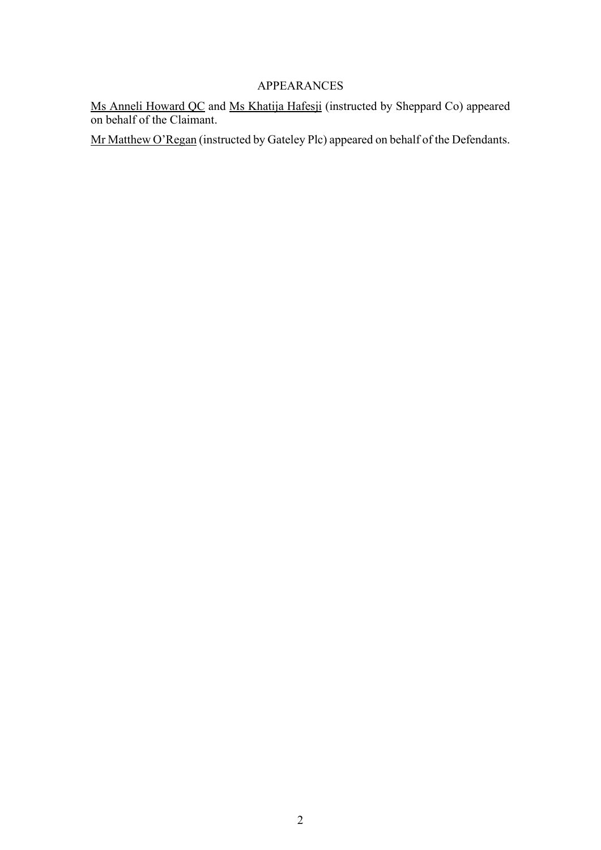# APPEARANCES

Ms Anneli Howard QC and Ms Khatija Hafesji (instructed by Sheppard Co) appeared on behalf of the Claimant.

Mr Matthew O'Regan (instructed by Gateley Plc) appeared on behalf of the Defendants.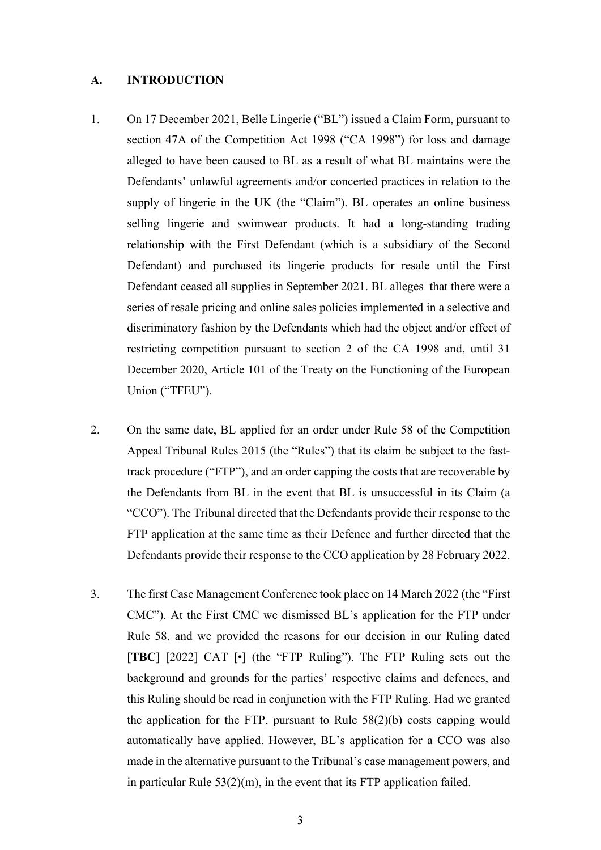#### **A. INTRODUCTION**

- 1. On 17 December 2021, Belle Lingerie ("BL") issued a Claim Form, pursuant to section 47A of the Competition Act 1998 ("CA 1998") for loss and damage alleged to have been caused to BL as a result of what BL maintains were the Defendants' unlawful agreements and/or concerted practices in relation to the supply of lingerie in the UK (the "Claim"). BL operates an online business selling lingerie and swimwear products. It had a long-standing trading relationship with the First Defendant (which is a subsidiary of the Second Defendant) and purchased its lingerie products for resale until the First Defendant ceased all supplies in September 2021. BL alleges that there were a series of resale pricing and online sales policies implemented in a selective and discriminatory fashion by the Defendants which had the object and/or effect of restricting competition pursuant to section 2 of the CA 1998 and, until 31 December 2020, Article 101 of the Treaty on the Functioning of the European Union ("TFEU").
- 2. On the same date, BL applied for an order under Rule 58 of the Competition Appeal Tribunal Rules 2015 (the "Rules") that its claim be subject to the fasttrack procedure ("FTP"), and an order capping the costs that are recoverable by the Defendants from BL in the event that BL is unsuccessful in its Claim (a "CCO"). The Tribunal directed that the Defendants provide their response to the FTP application at the same time as their Defence and further directed that the Defendants provide their response to the CCO application by 28 February 2022.
- 3. The first Case Management Conference took place on 14 March 2022 (the "First CMC"). At the First CMC we dismissed BL's application for the FTP under Rule 58, and we provided the reasons for our decision in our Ruling dated [**TBC**] [2022] CAT [•] (the "FTP Ruling"). The FTP Ruling sets out the background and grounds for the parties' respective claims and defences, and this Ruling should be read in conjunction with the FTP Ruling. Had we granted the application for the FTP, pursuant to Rule 58(2)(b) costs capping would automatically have applied. However, BL's application for a CCO was also made in the alternative pursuant to the Tribunal's case management powers, and in particular Rule 53(2)(m), in the event that its FTP application failed.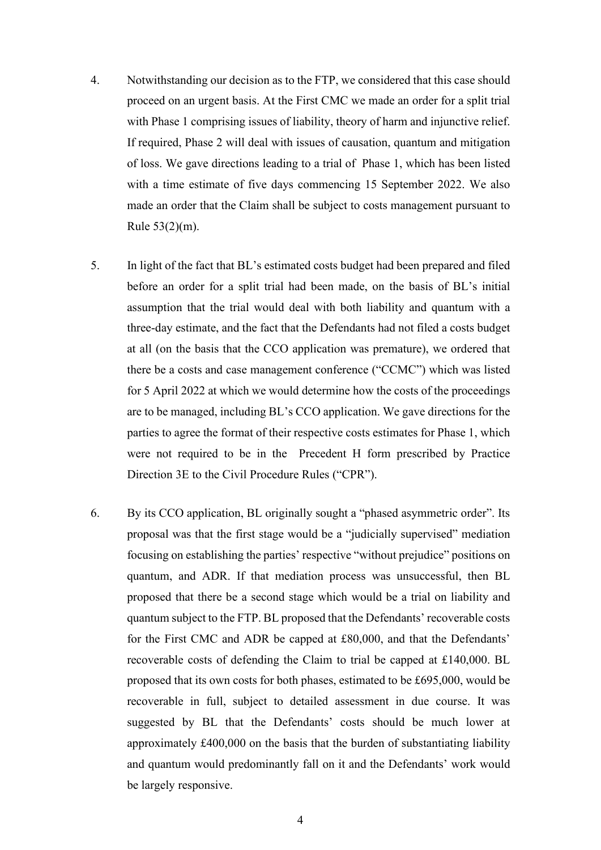- 4. Notwithstanding our decision as to the FTP, we considered that this case should proceed on an urgent basis. At the First CMC we made an order for a split trial with Phase 1 comprising issues of liability, theory of harm and injunctive relief. If required, Phase 2 will deal with issues of causation, quantum and mitigation of loss. We gave directions leading to a trial of Phase 1, which has been listed with a time estimate of five days commencing 15 September 2022. We also made an order that the Claim shall be subject to costs management pursuant to Rule 53(2)(m).
- 5. In light of the fact that BL's estimated costs budget had been prepared and filed before an order for a split trial had been made, on the basis of BL's initial assumption that the trial would deal with both liability and quantum with a three-day estimate, and the fact that the Defendants had not filed a costs budget at all (on the basis that the CCO application was premature), we ordered that there be a costs and case management conference ("CCMC") which was listed for 5 April 2022 at which we would determine how the costs of the proceedings are to be managed, including BL's CCO application. We gave directions for the parties to agree the format of their respective costs estimates for Phase 1, which were not required to be in the Precedent H form prescribed by Practice Direction 3E to the Civil Procedure Rules ("CPR").
- 6. By its CCO application, BL originally sought a "phased asymmetric order". Its proposal was that the first stage would be a "judicially supervised" mediation focusing on establishing the parties' respective "without prejudice" positions on quantum, and ADR. If that mediation process was unsuccessful, then BL proposed that there be a second stage which would be a trial on liability and quantum subject to the FTP. BL proposed that the Defendants' recoverable costs for the First CMC and ADR be capped at £80,000, and that the Defendants' recoverable costs of defending the Claim to trial be capped at £140,000. BL proposed that its own costs for both phases, estimated to be £695,000, would be recoverable in full, subject to detailed assessment in due course. It was suggested by BL that the Defendants' costs should be much lower at approximately £400,000 on the basis that the burden of substantiating liability and quantum would predominantly fall on it and the Defendants' work would be largely responsive.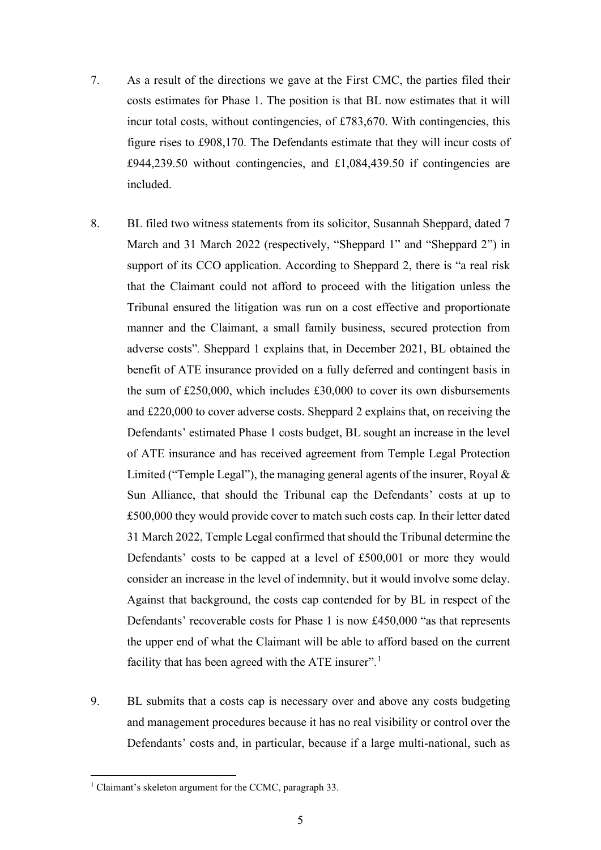- 7. As a result of the directions we gave at the First CMC, the parties filed their costs estimates for Phase 1. The position is that BL now estimates that it will incur total costs, without contingencies, of £783,670. With contingencies, this figure rises to £908,170. The Defendants estimate that they will incur costs of  $£944,239.50$  without contingencies, and  $£1,084,439.50$  if contingencies are included.
- 8. BL filed two witness statements from its solicitor, Susannah Sheppard, dated 7 March and 31 March 2022 (respectively, "Sheppard 1" and "Sheppard 2") in support of its CCO application. According to Sheppard 2, there is "a real risk that the Claimant could not afford to proceed with the litigation unless the Tribunal ensured the litigation was run on a cost effective and proportionate manner and the Claimant, a small family business, secured protection from adverse costs"*.* Sheppard 1 explains that, in December 2021, BL obtained the benefit of ATE insurance provided on a fully deferred and contingent basis in the sum of £250,000, which includes £30,000 to cover its own disbursements and £220,000 to cover adverse costs. Sheppard 2 explains that, on receiving the Defendants' estimated Phase 1 costs budget, BL sought an increase in the level of ATE insurance and has received agreement from Temple Legal Protection Limited ("Temple Legal"), the managing general agents of the insurer, Royal & Sun Alliance, that should the Tribunal cap the Defendants' costs at up to £500,000 they would provide cover to match such costs cap. In their letter dated 31 March 2022, Temple Legal confirmed that should the Tribunal determine the Defendants' costs to be capped at a level of £500,001 or more they would consider an increase in the level of indemnity, but it would involve some delay. Against that background, the costs cap contended for by BL in respect of the Defendants' recoverable costs for Phase 1 is now £450,000 "as that represents the upper end of what the Claimant will be able to afford based on the current facility that has been agreed with the ATE insurer".<sup>1</sup>
- 9. BL submits that a costs cap is necessary over and above any costs budgeting and management procedures because it has no real visibility or control over the Defendants' costs and, in particular, because if a large multi-national, such as

<sup>&</sup>lt;sup>1</sup> Claimant's skeleton argument for the CCMC, paragraph 33.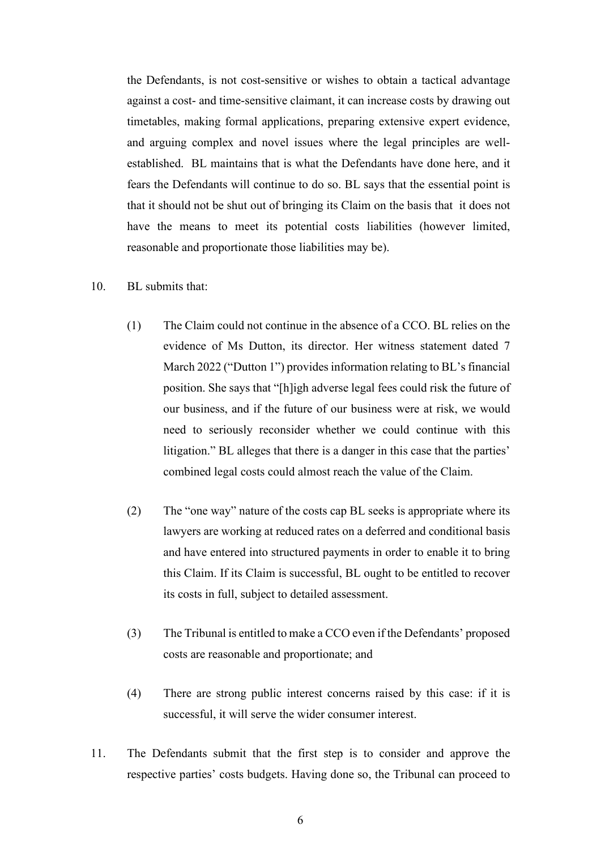the Defendants, is not cost-sensitive or wishes to obtain a tactical advantage against a cost- and time-sensitive claimant, it can increase costs by drawing out timetables, making formal applications, preparing extensive expert evidence, and arguing complex and novel issues where the legal principles are wellestablished. BL maintains that is what the Defendants have done here, and it fears the Defendants will continue to do so. BL says that the essential point is that it should not be shut out of bringing its Claim on the basis that it does not have the means to meet its potential costs liabilities (however limited, reasonable and proportionate those liabilities may be).

### 10. BL submits that:

- (1) The Claim could not continue in the absence of a CCO. BL relies on the evidence of Ms Dutton, its director. Her witness statement dated 7 March 2022 ("Dutton 1") provides information relating to BL's financial position. She says that "[h]igh adverse legal fees could risk the future of our business, and if the future of our business were at risk, we would need to seriously reconsider whether we could continue with this litigation." BL alleges that there is a danger in this case that the parties' combined legal costs could almost reach the value of the Claim.
- (2) The "one way" nature of the costs cap BL seeks is appropriate where its lawyers are working at reduced rates on a deferred and conditional basis and have entered into structured payments in order to enable it to bring this Claim. If its Claim is successful, BL ought to be entitled to recover its costs in full, subject to detailed assessment.
- (3) The Tribunal is entitled to make a CCO even if the Defendants' proposed costs are reasonable and proportionate; and
- (4) There are strong public interest concerns raised by this case: if it is successful, it will serve the wider consumer interest.
- 11. The Defendants submit that the first step is to consider and approve the respective parties' costs budgets. Having done so, the Tribunal can proceed to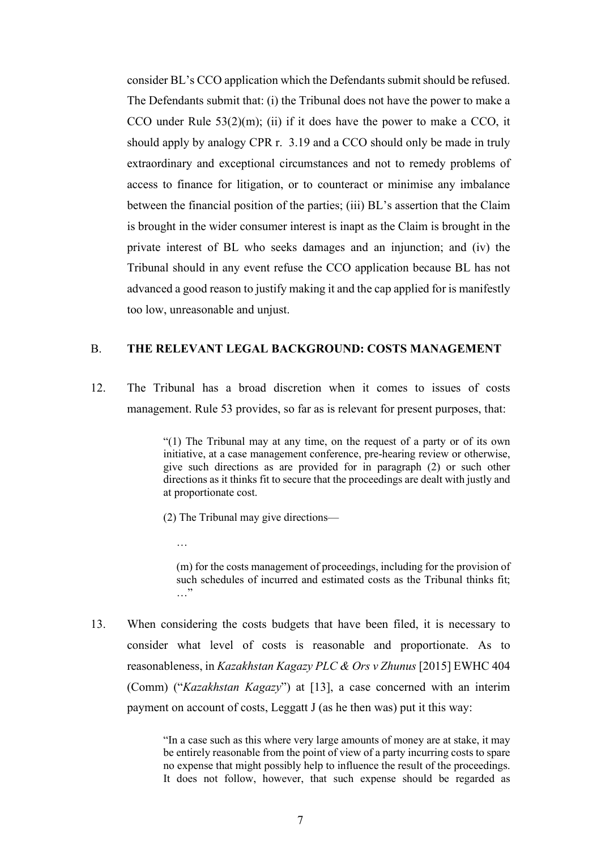consider BL's CCO application which the Defendants submit should be refused. The Defendants submit that: (i) the Tribunal does not have the power to make a CCO under Rule  $53(2)(m)$ ; (ii) if it does have the power to make a CCO, it should apply by analogy CPR r. 3.19 and a CCO should only be made in truly extraordinary and exceptional circumstances and not to remedy problems of access to finance for litigation, or to counteract or minimise any imbalance between the financial position of the parties; (iii) BL's assertion that the Claim is brought in the wider consumer interest is inapt as the Claim is brought in the private interest of BL who seeks damages and an injunction; and (iv) the Tribunal should in any event refuse the CCO application because BL has not advanced a good reason to justify making it and the cap applied for is manifestly too low, unreasonable and unjust.

#### B. **THE RELEVANT LEGAL BACKGROUND: COSTS MANAGEMENT**

12. The Tribunal has a broad discretion when it comes to issues of costs management. Rule 53 provides, so far as is relevant for present purposes, that:

> "(1) The Tribunal may at any time, on the request of a party or of its own initiative, at a case management conference, pre-hearing review or otherwise, give such directions as are provided for in paragraph (2) or such other directions as it thinks fit to secure that the proceedings are dealt with justly and at proportionate cost.

(2) The Tribunal may give directions—

…

(m) for the costs management of proceedings, including for the provision of such schedules of incurred and estimated costs as the Tribunal thinks fit; …"

13. When considering the costs budgets that have been filed, it is necessary to consider what level of costs is reasonable and proportionate. As to reasonableness, in *Kazakhstan Kagazy PLC & Ors v Zhunus* [2015] EWHC 404 (Comm) ("*Kazakhstan Kagazy*") at [13], a case concerned with an interim payment on account of costs, Leggatt J (as he then was) put it this way:

> "In a case such as this where very large amounts of money are at stake, it may be entirely reasonable from the point of view of a party incurring costs to spare no expense that might possibly help to influence the result of the proceedings. It does not follow, however, that such expense should be regarded as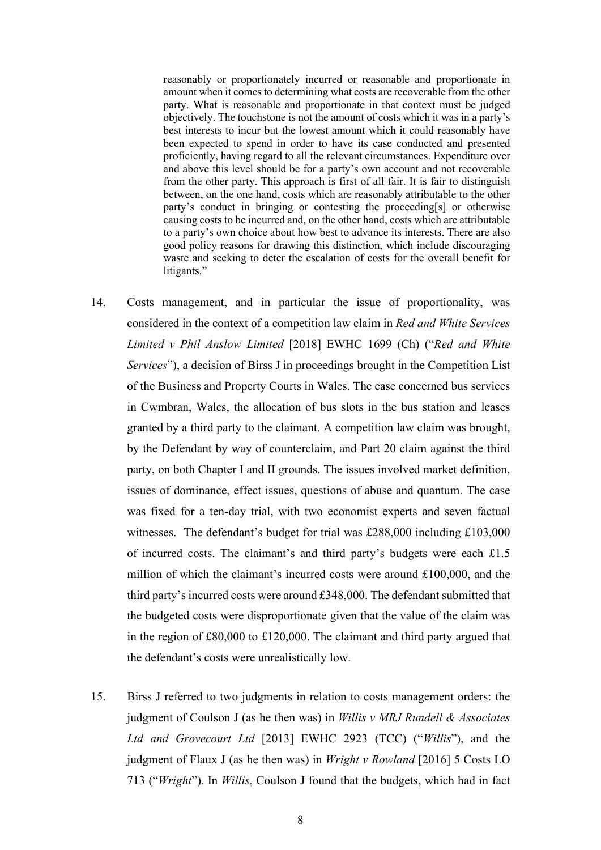reasonably or proportionately incurred or reasonable and proportionate in amount when it comes to determining what costs are recoverable from the other party. What is reasonable and proportionate in that context must be judged objectively. The touchstone is not the amount of costs which it was in a party's best interests to incur but the lowest amount which it could reasonably have been expected to spend in order to have its case conducted and presented proficiently, having regard to all the relevant circumstances. Expenditure over and above this level should be for a party's own account and not recoverable from the other party. This approach is first of all fair. It is fair to distinguish between, on the one hand, costs which are reasonably attributable to the other party's conduct in bringing or contesting the proceeding[s] or otherwise causing costs to be incurred and, on the other hand, costs which are attributable to a party's own choice about how best to advance its interests. There are also good policy reasons for drawing this distinction, which include discouraging waste and seeking to deter the escalation of costs for the overall benefit for litigants."

- 14. Costs management, and in particular the issue of proportionality, was considered in the context of a competition law claim in *Red and White Services Limited v Phil Anslow Limited* [2018] EWHC 1699 (Ch) ("*Red and White Services*"), a decision of Birss J in proceedings brought in the Competition List of the Business and Property Courts in Wales. The case concerned bus services in Cwmbran, Wales, the allocation of bus slots in the bus station and leases granted by a third party to the claimant. A competition law claim was brought, by the Defendant by way of counterclaim, and Part 20 claim against the third party, on both Chapter I and II grounds. The issues involved market definition, issues of dominance, effect issues, questions of abuse and quantum. The case was fixed for a ten-day trial, with two economist experts and seven factual witnesses. The defendant's budget for trial was £288,000 including £103,000 of incurred costs. The claimant's and third party's budgets were each £1.5 million of which the claimant's incurred costs were around  $£100,000$ , and the third party's incurred costs were around £348,000. The defendant submitted that the budgeted costs were disproportionate given that the value of the claim was in the region of £80,000 to £120,000. The claimant and third party argued that the defendant's costs were unrealistically low.
- 15. Birss J referred to two judgments in relation to costs management orders: the judgment of Coulson J (as he then was) in *Willis v MRJ Rundell & Associates Ltd and Grovecourt Ltd* [2013] EWHC 2923 (TCC) ("*Willis*"), and the judgment of Flaux J (as he then was) in *Wright v Rowland* [2016] 5 Costs LO 713 ("*Wright*"). In *Willis*, Coulson J found that the budgets, which had in fact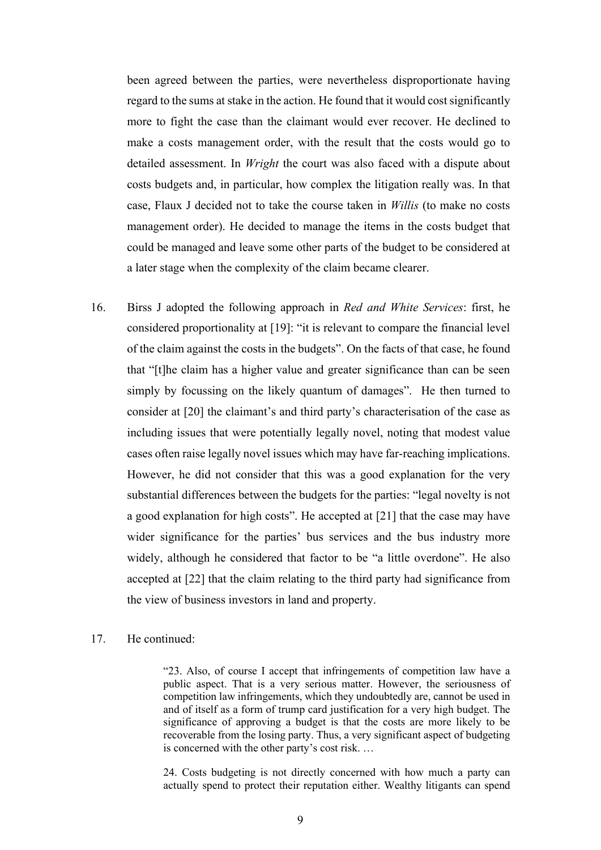been agreed between the parties, were nevertheless disproportionate having regard to the sums at stake in the action. He found that it would cost significantly more to fight the case than the claimant would ever recover. He declined to make a costs management order, with the result that the costs would go to detailed assessment. In *Wright* the court was also faced with a dispute about costs budgets and, in particular, how complex the litigation really was. In that case, Flaux J decided not to take the course taken in *Willis* (to make no costs management order). He decided to manage the items in the costs budget that could be managed and leave some other parts of the budget to be considered at a later stage when the complexity of the claim became clearer.

- 16. Birss J adopted the following approach in *Red and White Services*: first, he considered proportionality at [19]: "it is relevant to compare the financial level of the claim against the costs in the budgets". On the facts of that case, he found that "[t]he claim has a higher value and greater significance than can be seen simply by focussing on the likely quantum of damages". He then turned to consider at [20] the claimant's and third party's characterisation of the case as including issues that were potentially legally novel, noting that modest value cases often raise legally novel issues which may have far-reaching implications. However, he did not consider that this was a good explanation for the very substantial differences between the budgets for the parties: "legal novelty is not a good explanation for high costs". He accepted at [21] that the case may have wider significance for the parties' bus services and the bus industry more widely, although he considered that factor to be "a little overdone". He also accepted at [22] that the claim relating to the third party had significance from the view of business investors in land and property.
- 17. He continued:

"23. Also, of course I accept that infringements of competition law have a public aspect. That is a very serious matter. However, the seriousness of competition law infringements, which they undoubtedly are, cannot be used in and of itself as a form of trump card justification for a very high budget. The significance of approving a budget is that the costs are more likely to be recoverable from the losing party. Thus, a very significant aspect of budgeting is concerned with the other party's cost risk. …

24. Costs budgeting is not directly concerned with how much a party can actually spend to protect their reputation either. Wealthy litigants can spend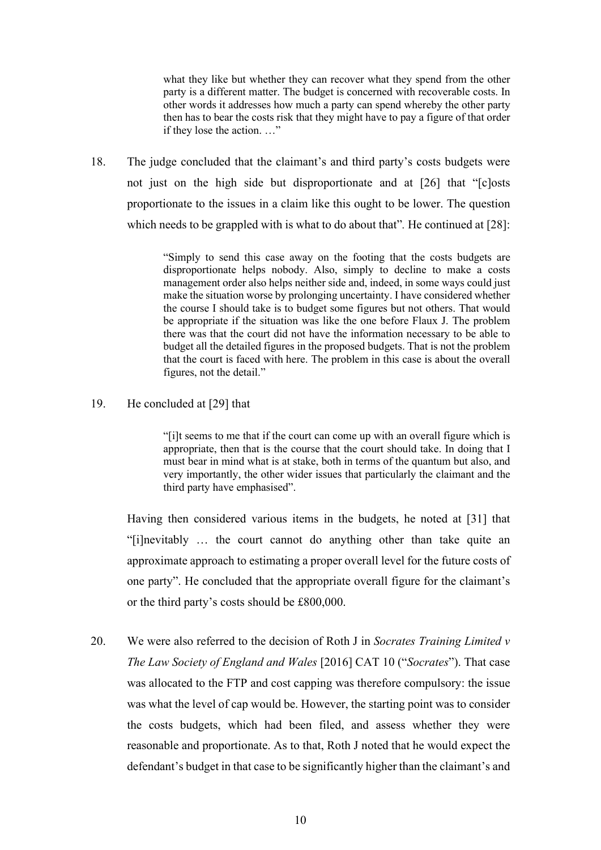what they like but whether they can recover what they spend from the other party is a different matter. The budget is concerned with recoverable costs. In other words it addresses how much a party can spend whereby the other party then has to bear the costs risk that they might have to pay a figure of that order if they lose the action. …"

18. The judge concluded that the claimant's and third party's costs budgets were not just on the high side but disproportionate and at [26] that "[c]osts proportionate to the issues in a claim like this ought to be lower. The question which needs to be grappled with is what to do about that"*.* He continued at [28]:

> "Simply to send this case away on the footing that the costs budgets are disproportionate helps nobody. Also, simply to decline to make a costs management order also helps neither side and, indeed, in some ways could just make the situation worse by prolonging uncertainty. I have considered whether the course I should take is to budget some figures but not others. That would be appropriate if the situation was like the one before Flaux J. The problem there was that the court did not have the information necessary to be able to budget all the detailed figures in the proposed budgets. That is not the problem that the court is faced with here. The problem in this case is about the overall figures, not the detail."

## 19. He concluded at [29] that

"[i]t seems to me that if the court can come up with an overall figure which is appropriate, then that is the course that the court should take. In doing that I must bear in mind what is at stake, both in terms of the quantum but also, and very importantly, the other wider issues that particularly the claimant and the third party have emphasised".

Having then considered various items in the budgets, he noted at [31] that "[i]nevitably … the court cannot do anything other than take quite an approximate approach to estimating a proper overall level for the future costs of one party". He concluded that the appropriate overall figure for the claimant's or the third party's costs should be £800,000.

20. We were also referred to the decision of Roth J in *Socrates Training Limited v The Law Society of England and Wales* [2016] CAT 10 ("*Socrates*"). That case was allocated to the FTP and cost capping was therefore compulsory: the issue was what the level of cap would be. However, the starting point was to consider the costs budgets, which had been filed, and assess whether they were reasonable and proportionate. As to that, Roth J noted that he would expect the defendant's budget in that case to be significantly higher than the claimant's and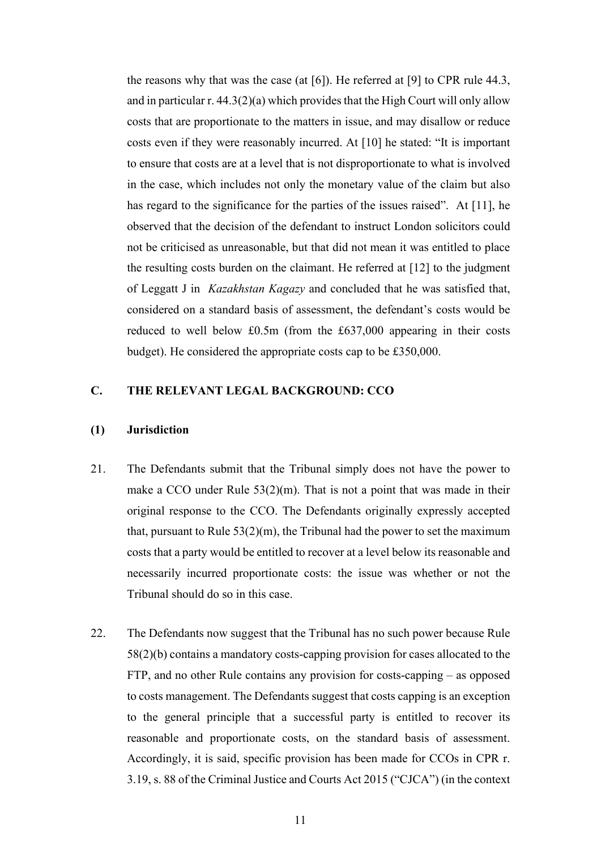the reasons why that was the case (at [6]). He referred at [9] to CPR rule 44.3, and in particular r. 44.3(2)(a) which provides that the High Court will only allow costs that are proportionate to the matters in issue, and may disallow or reduce costs even if they were reasonably incurred. At [10] he stated: "It is important to ensure that costs are at a level that is not disproportionate to what is involved in the case, which includes not only the monetary value of the claim but also has regard to the significance for the parties of the issues raised". At [11], he observed that the decision of the defendant to instruct London solicitors could not be criticised as unreasonable, but that did not mean it was entitled to place the resulting costs burden on the claimant. He referred at [12] to the judgment of Leggatt J in *Kazakhstan Kagazy* and concluded that he was satisfied that, considered on a standard basis of assessment, the defendant's costs would be reduced to well below £0.5m (from the £637,000 appearing in their costs budget). He considered the appropriate costs cap to be £350,000.

## **C. THE RELEVANT LEGAL BACKGROUND: CCO**

#### **(1) Jurisdiction**

- 21. The Defendants submit that the Tribunal simply does not have the power to make a CCO under Rule  $53(2)(m)$ . That is not a point that was made in their original response to the CCO. The Defendants originally expressly accepted that, pursuant to Rule  $53(2)(m)$ , the Tribunal had the power to set the maximum costs that a party would be entitled to recover at a level below its reasonable and necessarily incurred proportionate costs: the issue was whether or not the Tribunal should do so in this case.
- 22. The Defendants now suggest that the Tribunal has no such power because Rule 58(2)(b) contains a mandatory costs-capping provision for cases allocated to the FTP, and no other Rule contains any provision for costs-capping – as opposed to costs management. The Defendants suggest that costs capping is an exception to the general principle that a successful party is entitled to recover its reasonable and proportionate costs, on the standard basis of assessment. Accordingly, it is said, specific provision has been made for CCOs in CPR r. 3.19, s. 88 of the Criminal Justice and Courts Act 2015 ("CJCA") (in the context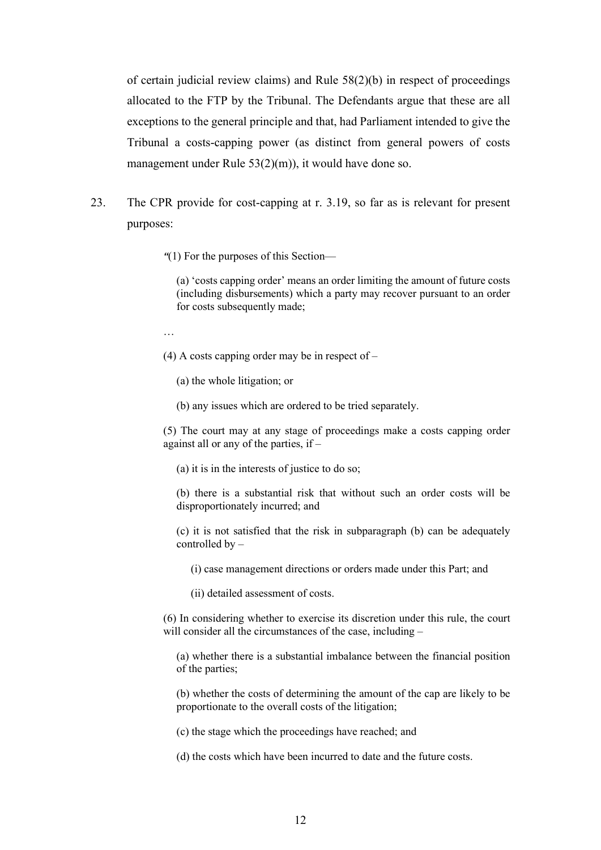of certain judicial review claims) and Rule 58(2)(b) in respect of proceedings allocated to the FTP by the Tribunal. The Defendants argue that these are all exceptions to the general principle and that, had Parliament intended to give the Tribunal a costs-capping power (as distinct from general powers of costs management under Rule 53(2)(m)), it would have done so.

23. The CPR provide for cost-capping at r. 3.19, so far as is relevant for present purposes:

*"*(1) For the purposes of this Section—

(a) 'costs capping order' means an order limiting the amount of future costs (including disbursements) which a party may recover pursuant to an order for costs subsequently made;

…

(4) A costs capping order may be in respect of  $-$ 

(a) the whole litigation; or

(b) any issues which are ordered to be tried separately.

(5) The court may at any stage of proceedings make a costs capping order against all or any of the parties, if –

(a) it is in the interests of justice to do so;

(b) there is a substantial risk that without such an order costs will be disproportionately incurred; and

(c) it is not satisfied that the risk in subparagraph (b) can be adequately controlled by –

(i) case management directions or orders made under this Part; and

(ii) detailed assessment of costs.

(6) In considering whether to exercise its discretion under this rule, the court will consider all the circumstances of the case, including –

(a) whether there is a substantial imbalance between the financial position of the parties;

(b) whether the costs of determining the amount of the cap are likely to be proportionate to the overall costs of the litigation;

(c) the stage which the proceedings have reached; and

(d) the costs which have been incurred to date and the future costs.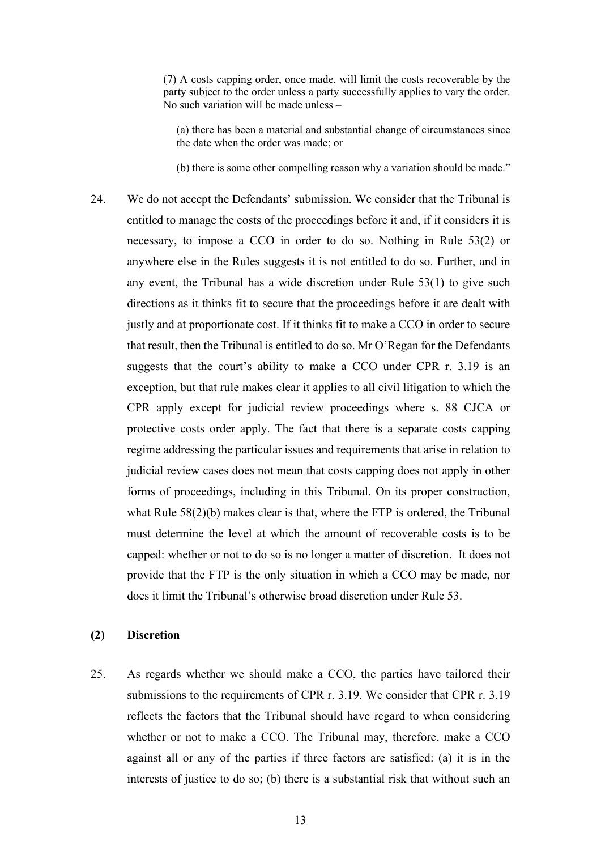(7) A costs capping order, once made, will limit the costs recoverable by the party subject to the order unless a party successfully applies to vary the order. No such variation will be made unless –

(a) there has been a material and substantial change of circumstances since the date when the order was made; or

(b) there is some other compelling reason why a variation should be made."

24. We do not accept the Defendants' submission. We consider that the Tribunal is entitled to manage the costs of the proceedings before it and, if it considers it is necessary, to impose a CCO in order to do so. Nothing in Rule 53(2) or anywhere else in the Rules suggests it is not entitled to do so. Further, and in any event, the Tribunal has a wide discretion under Rule 53(1) to give such directions as it thinks fit to secure that the proceedings before it are dealt with justly and at proportionate cost. If it thinks fit to make a CCO in order to secure that result, then the Tribunal is entitled to do so. Mr O'Regan for the Defendants suggests that the court's ability to make a CCO under CPR r. 3.19 is an exception, but that rule makes clear it applies to all civil litigation to which the CPR apply except for judicial review proceedings where s. 88 CJCA or protective costs order apply. The fact that there is a separate costs capping regime addressing the particular issues and requirements that arise in relation to judicial review cases does not mean that costs capping does not apply in other forms of proceedings, including in this Tribunal. On its proper construction, what Rule 58(2)(b) makes clear is that, where the FTP is ordered, the Tribunal must determine the level at which the amount of recoverable costs is to be capped: whether or not to do so is no longer a matter of discretion. It does not provide that the FTP is the only situation in which a CCO may be made, nor does it limit the Tribunal's otherwise broad discretion under Rule 53.

## **(2) Discretion**

25. As regards whether we should make a CCO, the parties have tailored their submissions to the requirements of CPR r. 3.19. We consider that CPR r. 3.19 reflects the factors that the Tribunal should have regard to when considering whether or not to make a CCO. The Tribunal may, therefore, make a CCO against all or any of the parties if three factors are satisfied: (a) it is in the interests of justice to do so; (b) there is a substantial risk that without such an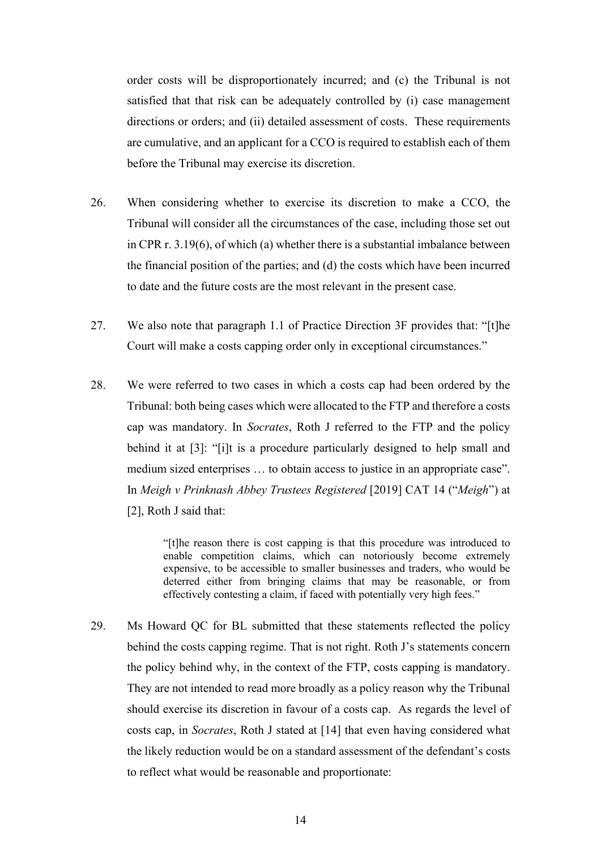order costs will be disproportionately incurred; and (c) the Tribunal is not satisfied that that risk can be adequately controlled by (i) case management directions or orders; and (ii) detailed assessment of costs. These requirements are cumulative, and an applicant for a CCO is required to establish each of them before the Tribunal may exercise its discretion.

- 26. When considering whether to exercise its discretion to make a CCO, the Tribunal will consider all the circumstances of the case, including those set out in CPR r. 3.19(6), of which (a) whether there is a substantial imbalance between the financial position of the parties; and (d) the costs which have been incurred to date and the future costs are the most relevant in the present case.
- 27. We also note that paragraph 1.1 of Practice Direction 3F provides that: "[t]he Court will make a costs capping order only in exceptional circumstances."
- 28. We were referred to two cases in which a costs cap had been ordered by the Tribunal: both being cases which were allocated to the FTP and therefore a costs cap was mandatory. In *Socrates*, Roth J referred to the FTP and the policy behind it at [3]: "[i]t is a procedure particularly designed to help small and medium sized enterprises … to obtain access to justice in an appropriate case". In *Meigh v Prinknash Abbey Trustees Registered* [2019] CAT 14 ("*Meigh*") at [2], Roth J said that:

"[t]he reason there is cost capping is that this procedure was introduced to enable competition claims, which can notoriously become extremely expensive, to be accessible to smaller businesses and traders, who would be deterred either from bringing claims that may be reasonable, or from effectively contesting a claim, if faced with potentially very high fees."

29. Ms Howard QC for BL submitted that these statements reflected the policy behind the costs capping regime. That is not right. Roth J's statements concern the policy behind why, in the context of the FTP, costs capping is mandatory. They are not intended to read more broadly as a policy reason why the Tribunal should exercise its discretion in favour of a costs cap. As regards the level of costs cap, in *Socrates*, Roth J stated at [14] that even having considered what the likely reduction would be on a standard assessment of the defendant's costs to reflect what would be reasonable and proportionate: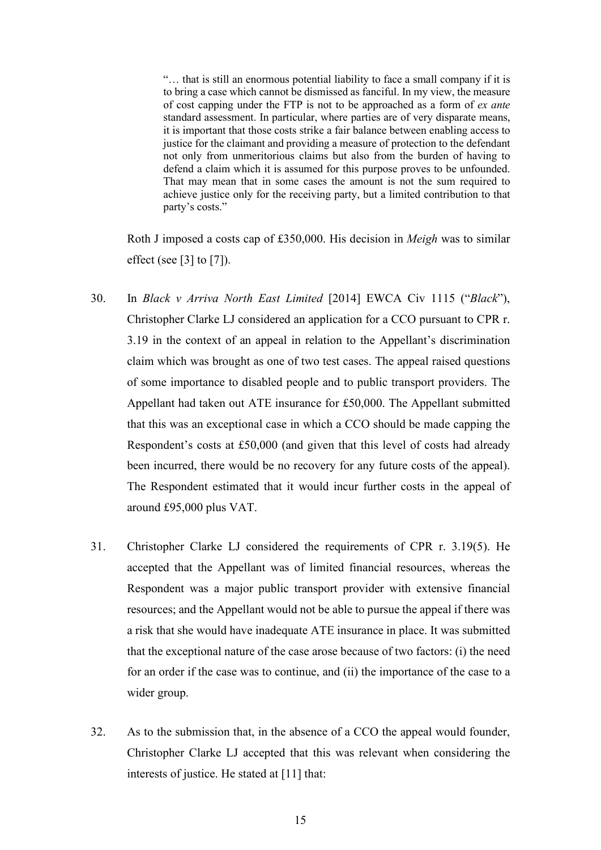"… that is still an enormous potential liability to face a small company if it is to bring a case which cannot be dismissed as fanciful. In my view, the measure of cost capping under the FTP is not to be approached as a form of *ex ante* standard assessment. In particular, where parties are of very disparate means, it is important that those costs strike a fair balance between enabling access to justice for the claimant and providing a measure of protection to the defendant not only from unmeritorious claims but also from the burden of having to defend a claim which it is assumed for this purpose proves to be unfounded. That may mean that in some cases the amount is not the sum required to achieve justice only for the receiving party, but a limited contribution to that party's costs."

Roth J imposed a costs cap of £350,000. His decision in *Meigh* was to similar effect (see [3] to [7]).

- 30. In *Black v Arriva North East Limited* [2014] EWCA Civ 1115 ("*Black*"), Christopher Clarke LJ considered an application for a CCO pursuant to CPR r. 3.19 in the context of an appeal in relation to the Appellant's discrimination claim which was brought as one of two test cases. The appeal raised questions of some importance to disabled people and to public transport providers. The Appellant had taken out ATE insurance for £50,000. The Appellant submitted that this was an exceptional case in which a CCO should be made capping the Respondent's costs at £50,000 (and given that this level of costs had already been incurred, there would be no recovery for any future costs of the appeal). The Respondent estimated that it would incur further costs in the appeal of around £95,000 plus VAT.
- 31. Christopher Clarke LJ considered the requirements of CPR r. 3.19(5). He accepted that the Appellant was of limited financial resources, whereas the Respondent was a major public transport provider with extensive financial resources; and the Appellant would not be able to pursue the appeal if there was a risk that she would have inadequate ATE insurance in place. It was submitted that the exceptional nature of the case arose because of two factors: (i) the need for an order if the case was to continue, and (ii) the importance of the case to a wider group.
- 32. As to the submission that, in the absence of a CCO the appeal would founder, Christopher Clarke LJ accepted that this was relevant when considering the interests of justice. He stated at [11] that: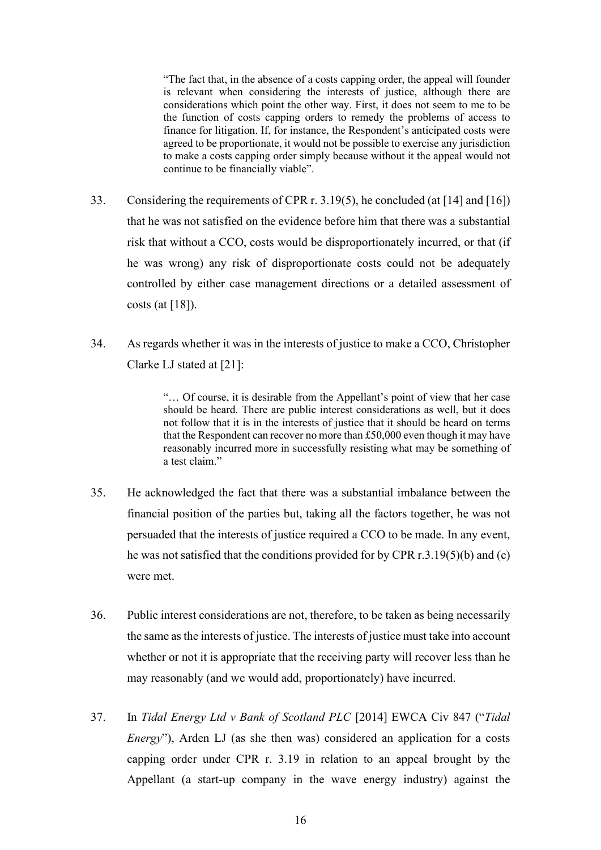"The fact that, in the absence of a costs capping order, the appeal will founder is relevant when considering the interests of justice, although there are considerations which point the other way. First, it does not seem to me to be the function of costs capping orders to remedy the problems of access to finance for litigation. If, for instance, the Respondent's anticipated costs were agreed to be proportionate, it would not be possible to exercise any jurisdiction to make a costs capping order simply because without it the appeal would not continue to be financially viable".

- 33. Considering the requirements of CPR r. 3.19(5), he concluded (at [14] and [16]) that he was not satisfied on the evidence before him that there was a substantial risk that without a CCO, costs would be disproportionately incurred, or that (if he was wrong) any risk of disproportionate costs could not be adequately controlled by either case management directions or a detailed assessment of costs (at  $[18]$ ).
- 34. As regards whether it was in the interests of justice to make a CCO, Christopher Clarke LJ stated at [21]:

"… Of course, it is desirable from the Appellant's point of view that her case should be heard. There are public interest considerations as well, but it does not follow that it is in the interests of justice that it should be heard on terms that the Respondent can recover no more than £50,000 even though it may have reasonably incurred more in successfully resisting what may be something of a test claim."

- 35. He acknowledged the fact that there was a substantial imbalance between the financial position of the parties but, taking all the factors together, he was not persuaded that the interests of justice required a CCO to be made. In any event, he was not satisfied that the conditions provided for by CPR r.3.19(5)(b) and (c) were met.
- 36. Public interest considerations are not, therefore, to be taken as being necessarily the same as the interests of justice. The interests of justice must take into account whether or not it is appropriate that the receiving party will recover less than he may reasonably (and we would add, proportionately) have incurred.
- 37. In *Tidal Energy Ltd v Bank of Scotland PLC* [2014] EWCA Civ 847 ("*Tidal Energy*"), Arden LJ (as she then was) considered an application for a costs capping order under CPR r. 3.19 in relation to an appeal brought by the Appellant (a start-up company in the wave energy industry) against the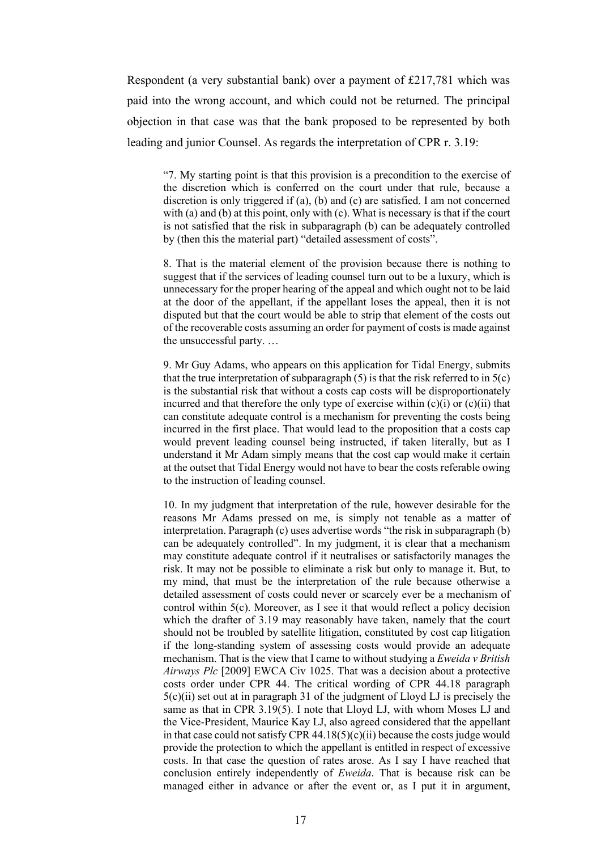Respondent (a very substantial bank) over a payment of £217,781 which was paid into the wrong account, and which could not be returned. The principal objection in that case was that the bank proposed to be represented by both leading and junior Counsel. As regards the interpretation of CPR r. 3.19:

"7. My starting point is that this provision is a precondition to the exercise of the discretion which is conferred on the court under that rule, because a discretion is only triggered if (a), (b) and (c) are satisfied. I am not concerned with (a) and (b) at this point, only with (c). What is necessary is that if the court is not satisfied that the risk in subparagraph (b) can be adequately controlled by (then this the material part) "detailed assessment of costs".

8. That is the material element of the provision because there is nothing to suggest that if the services of leading counsel turn out to be a luxury, which is unnecessary for the proper hearing of the appeal and which ought not to be laid at the door of the appellant, if the appellant loses the appeal, then it is not disputed but that the court would be able to strip that element of the costs out of the recoverable costs assuming an order for payment of costs is made against the unsuccessful party. …

9. Mr Guy Adams, who appears on this application for Tidal Energy, submits that the true interpretation of subparagraph  $(5)$  is that the risk referred to in  $5(c)$ is the substantial risk that without a costs cap costs will be disproportionately incurred and that therefore the only type of exercise within  $(c)(i)$  or  $(c)(ii)$  that can constitute adequate control is a mechanism for preventing the costs being incurred in the first place. That would lead to the proposition that a costs cap would prevent leading counsel being instructed, if taken literally, but as I understand it Mr Adam simply means that the cost cap would make it certain at the outset that Tidal Energy would not have to bear the costs referable owing to the instruction of leading counsel.

10. In my judgment that interpretation of the rule, however desirable for the reasons Mr Adams pressed on me, is simply not tenable as a matter of interpretation. Paragraph (c) uses advertise words "the risk in subparagraph (b) can be adequately controlled". In my judgment, it is clear that a mechanism may constitute adequate control if it neutralises or satisfactorily manages the risk. It may not be possible to eliminate a risk but only to manage it. But, to my mind, that must be the interpretation of the rule because otherwise a detailed assessment of costs could never or scarcely ever be a mechanism of control within 5(c). Moreover, as I see it that would reflect a policy decision which the drafter of 3.19 may reasonably have taken, namely that the court should not be troubled by satellite litigation, constituted by cost cap litigation if the long-standing system of assessing costs would provide an adequate mechanism. That is the view that I came to without studying a *Eweida v British Airways Plc* [2009] EWCA Civ 1025. That was a decision about a protective costs order under CPR 44. The critical wording of CPR 44.18 paragraph  $5(c)(ii)$  set out at in paragraph 31 of the judgment of Lloyd LJ is precisely the same as that in CPR 3.19(5). I note that Lloyd LJ, with whom Moses LJ and the Vice-President, Maurice Kay LJ, also agreed considered that the appellant in that case could not satisfy CPR 44.18(5)(c)(ii) because the costs judge would provide the protection to which the appellant is entitled in respect of excessive costs. In that case the question of rates arose. As I say I have reached that conclusion entirely independently of *Eweida*. That is because risk can be managed either in advance or after the event or, as I put it in argument,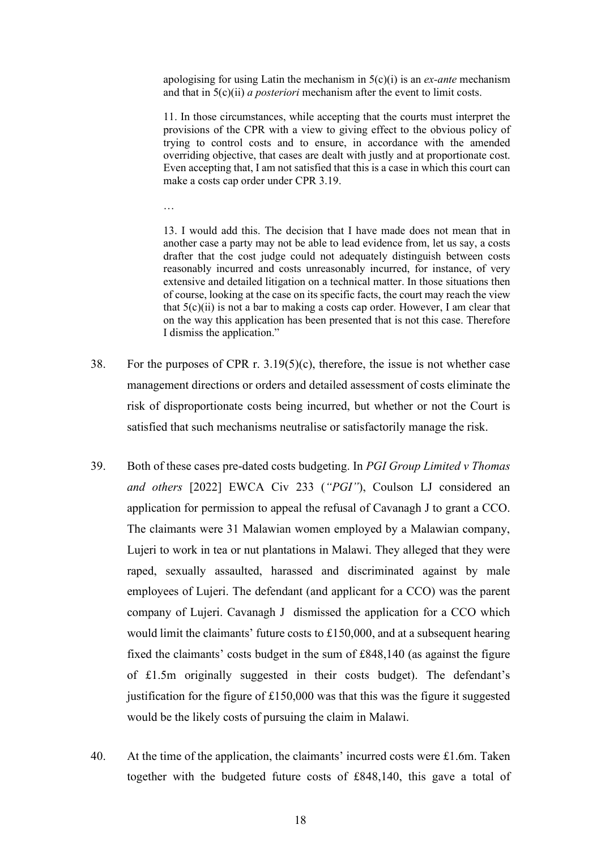apologising for using Latin the mechanism in 5(c)(i) is an *ex-ante* mechanism and that in 5(c)(ii) *a posteriori* mechanism after the event to limit costs.

11. In those circumstances, while accepting that the courts must interpret the provisions of the CPR with a view to giving effect to the obvious policy of trying to control costs and to ensure, in accordance with the amended overriding objective, that cases are dealt with justly and at proportionate cost. Even accepting that, I am not satisfied that this is a case in which this court can make a costs cap order under CPR 3.19.

…

13. I would add this. The decision that I have made does not mean that in another case a party may not be able to lead evidence from, let us say, a costs drafter that the cost judge could not adequately distinguish between costs reasonably incurred and costs unreasonably incurred, for instance, of very extensive and detailed litigation on a technical matter. In those situations then of course, looking at the case on its specific facts, the court may reach the view that  $5(c)(ii)$  is not a bar to making a costs cap order. However, I am clear that on the way this application has been presented that is not this case. Therefore I dismiss the application."

- 38. For the purposes of CPR r. 3.19(5)(c), therefore, the issue is not whether case management directions or orders and detailed assessment of costs eliminate the risk of disproportionate costs being incurred, but whether or not the Court is satisfied that such mechanisms neutralise or satisfactorily manage the risk.
- 39. Both of these cases pre-dated costs budgeting. In *PGI Group Limited v Thomas and others* [2022] EWCA Civ 233 (*"PGI"*), Coulson LJ considered an application for permission to appeal the refusal of Cavanagh J to grant a CCO. The claimants were 31 Malawian women employed by a Malawian company, Lujeri to work in tea or nut plantations in Malawi. They alleged that they were raped, sexually assaulted, harassed and discriminated against by male employees of Lujeri. The defendant (and applicant for a CCO) was the parent company of Lujeri. Cavanagh J dismissed the application for a CCO which would limit the claimants' future costs to £150,000, and at a subsequent hearing fixed the claimants' costs budget in the sum of £848,140 (as against the figure of £1.5m originally suggested in their costs budget). The defendant's justification for the figure of £150,000 was that this was the figure it suggested would be the likely costs of pursuing the claim in Malawi.
- 40. At the time of the application, the claimants' incurred costs were £1.6m. Taken together with the budgeted future costs of £848,140, this gave a total of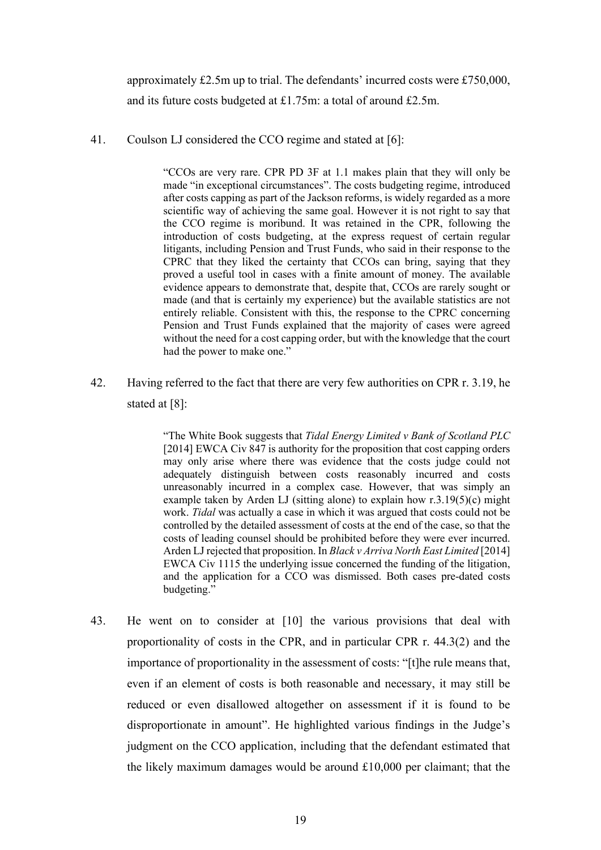approximately £2.5m up to trial. The defendants' incurred costs were £750,000, and its future costs budgeted at £1.75m: a total of around £2.5m.

41. Coulson LJ considered the CCO regime and stated at [6]:

"CCOs are very rare. CPR PD 3F at 1.1 makes plain that they will only be made "in exceptional circumstances". The costs budgeting regime, introduced after costs capping as part of the Jackson reforms, is widely regarded as a more scientific way of achieving the same goal. However it is not right to say that the CCO regime is moribund. It was retained in the CPR, following the introduction of costs budgeting, at the express request of certain regular litigants, including Pension and Trust Funds, who said in their response to the CPRC that they liked the certainty that CCOs can bring, saying that they proved a useful tool in cases with a finite amount of money. The available evidence appears to demonstrate that, despite that, CCOs are rarely sought or made (and that is certainly my experience) but the available statistics are not entirely reliable. Consistent with this, the response to the CPRC concerning Pension and Trust Funds explained that the majority of cases were agreed without the need for a cost capping order, but with the knowledge that the court had the power to make one."

42. Having referred to the fact that there are very few authorities on CPR r. 3.19, he stated at [8]:

> "The White Book suggests that *Tidal Energy Limited v Bank of Scotland PLC* [2014] EWCA Civ 847 is authority for the proposition that cost capping orders may only arise where there was evidence that the costs judge could not adequately distinguish between costs reasonably incurred and costs unreasonably incurred in a complex case. However, that was simply an example taken by Arden LJ (sitting alone) to explain how  $r \cdot 3.19(5)(c)$  might work. *Tidal* was actually a case in which it was argued that costs could not be controlled by the detailed assessment of costs at the end of the case, so that the costs of leading counsel should be prohibited before they were ever incurred. Arden LJ rejected that proposition. In *Black v Arriva North East Limited* [2014] EWCA Civ 1115 the underlying issue concerned the funding of the litigation, and the application for a CCO was dismissed. Both cases pre-dated costs budgeting."

43. He went on to consider at [10] the various provisions that deal with proportionality of costs in the CPR, and in particular CPR r. 44.3(2) and the importance of proportionality in the assessment of costs: "[t]he rule means that, even if an element of costs is both reasonable and necessary, it may still be reduced or even disallowed altogether on assessment if it is found to be disproportionate in amount". He highlighted various findings in the Judge's judgment on the CCO application, including that the defendant estimated that the likely maximum damages would be around £10,000 per claimant; that the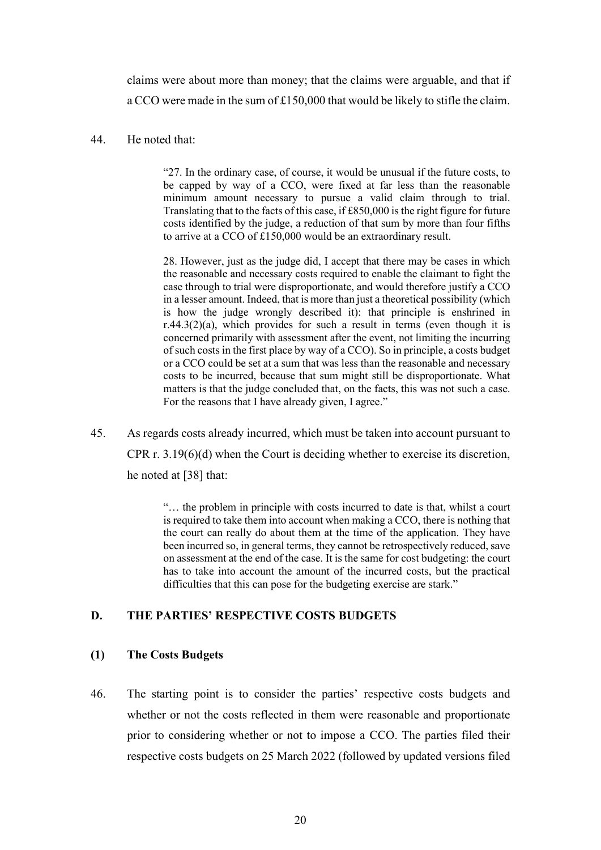claims were about more than money; that the claims were arguable, and that if a CCO were made in the sum of £150,000 that would be likely to stifle the claim.

## 44. He noted that:

"27. In the ordinary case, of course, it would be unusual if the future costs, to be capped by way of a CCO, were fixed at far less than the reasonable minimum amount necessary to pursue a valid claim through to trial. Translating that to the facts of this case, if £850,000 is the right figure for future costs identified by the judge, a reduction of that sum by more than four fifths to arrive at a CCO of £150,000 would be an extraordinary result.

28. However, just as the judge did, I accept that there may be cases in which the reasonable and necessary costs required to enable the claimant to fight the case through to trial were disproportionate, and would therefore justify a CCO in a lesser amount. Indeed, that is more than just a theoretical possibility (which is how the judge wrongly described it): that principle is enshrined in  $r.44.3(2)(a)$ , which provides for such a result in terms (even though it is concerned primarily with assessment after the event, not limiting the incurring of such costs in the first place by way of a CCO). So in principle, a costs budget or a CCO could be set at a sum that was less than the reasonable and necessary costs to be incurred, because that sum might still be disproportionate. What matters is that the judge concluded that, on the facts, this was not such a case. For the reasons that I have already given, I agree."

45. As regards costs already incurred, which must be taken into account pursuant to CPR r. 3.19(6)(d) when the Court is deciding whether to exercise its discretion, he noted at [38] that:

> "… the problem in principle with costs incurred to date is that, whilst a court is required to take them into account when making a CCO, there is nothing that the court can really do about them at the time of the application. They have been incurred so, in general terms, they cannot be retrospectively reduced, save on assessment at the end of the case. It is the same for cost budgeting: the court has to take into account the amount of the incurred costs, but the practical difficulties that this can pose for the budgeting exercise are stark."

#### **D. THE PARTIES' RESPECTIVE COSTS BUDGETS**

#### **(1) The Costs Budgets**

46. The starting point is to consider the parties' respective costs budgets and whether or not the costs reflected in them were reasonable and proportionate prior to considering whether or not to impose a CCO. The parties filed their respective costs budgets on 25 March 2022 (followed by updated versions filed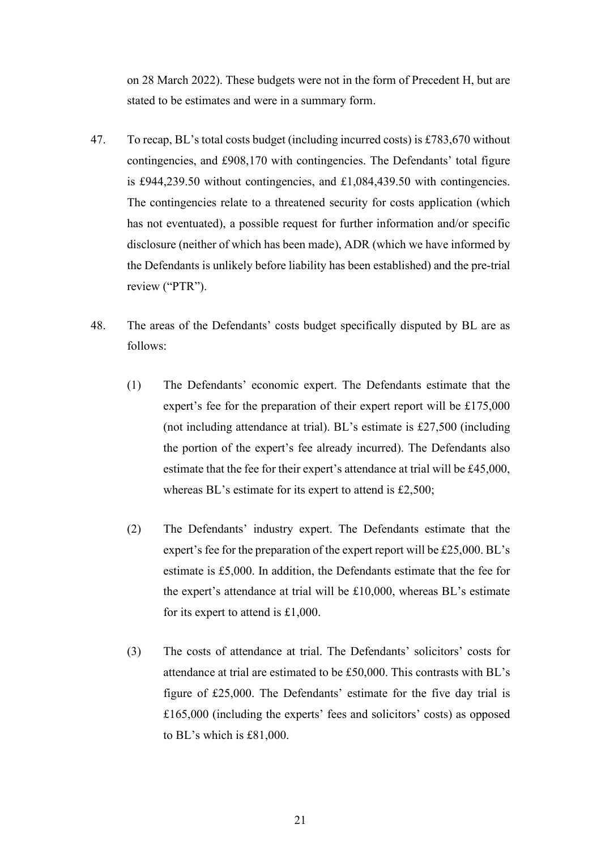on 28 March 2022). These budgets were not in the form of Precedent H, but are stated to be estimates and were in a summary form.

- 47. To recap, BL's total costs budget (including incurred costs) is £783,670 without contingencies, and £908,170 with contingencies. The Defendants' total figure is £944,239.50 without contingencies, and £1,084,439.50 with contingencies. The contingencies relate to a threatened security for costs application (which has not eventuated), a possible request for further information and/or specific disclosure (neither of which has been made), ADR (which we have informed by the Defendants is unlikely before liability has been established) and the pre-trial review ("PTR").
- 48. The areas of the Defendants' costs budget specifically disputed by BL are as follows:
	- (1) The Defendants' economic expert. The Defendants estimate that the expert's fee for the preparation of their expert report will be £175,000 (not including attendance at trial). BL's estimate is £27,500 (including the portion of the expert's fee already incurred). The Defendants also estimate that the fee for their expert's attendance at trial will be £45,000, whereas BL's estimate for its expert to attend is £2,500;
	- (2) The Defendants' industry expert. The Defendants estimate that the expert's fee for the preparation of the expert report will be £25,000. BL's estimate is £5,000. In addition, the Defendants estimate that the fee for the expert's attendance at trial will be £10,000, whereas BL's estimate for its expert to attend is £1,000.
	- (3) The costs of attendance at trial. The Defendants' solicitors' costs for attendance at trial are estimated to be £50,000. This contrasts with BL's figure of £25,000. The Defendants' estimate for the five day trial is £165,000 (including the experts' fees and solicitors' costs) as opposed to BL's which is £81,000.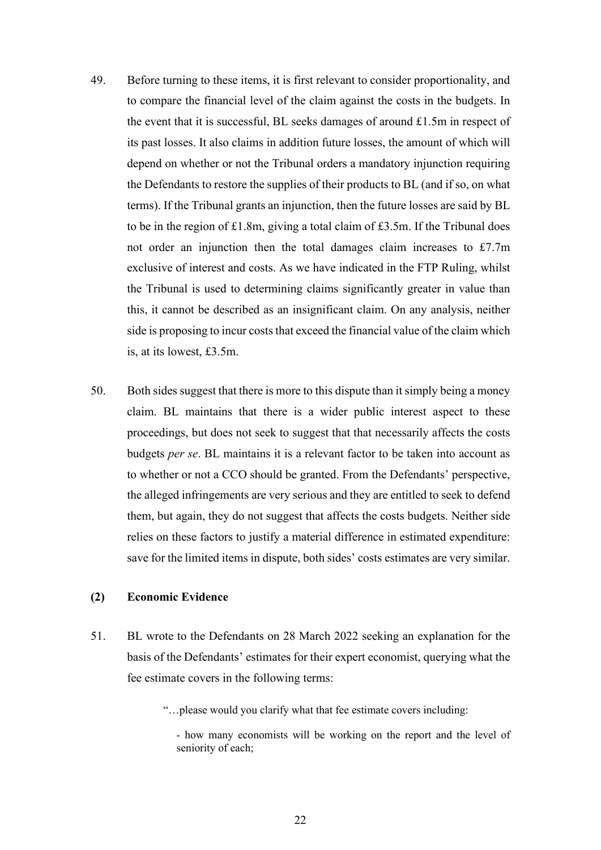- 49. Before turning to these items, it is first relevant to consider proportionality, and to compare the financial level of the claim against the costs in the budgets. In the event that it is successful, BL seeks damages of around £1.5m in respect of its past losses. It also claims in addition future losses, the amount of which will depend on whether or not the Tribunal orders a mandatory injunction requiring the Defendants to restore the supplies of their products to BL (and if so, on what terms). If the Tribunal grants an injunction, then the future losses are said by BL to be in the region of £1.8m, giving a total claim of £3.5m. If the Tribunal does not order an injunction then the total damages claim increases to £7.7m exclusive of interest and costs. As we have indicated in the FTP Ruling, whilst the Tribunal is used to determining claims significantly greater in value than this, it cannot be described as an insignificant claim. On any analysis, neither side is proposing to incur costs that exceed the financial value of the claim which is, at its lowest, £3.5m.
- 50. Both sides suggest that there is more to this dispute than it simply being a money claim. BL maintains that there is a wider public interest aspect to these proceedings, but does not seek to suggest that that necessarily affects the costs budgets *per se*. BL maintains it is a relevant factor to be taken into account as to whether or not a CCO should be granted. From the Defendants' perspective, the alleged infringements are very serious and they are entitled to seek to defend them, but again, they do not suggest that affects the costs budgets. Neither side relies on these factors to justify a material difference in estimated expenditure: save for the limited items in dispute, both sides' costs estimates are very similar.

## **(2) Economic Evidence**

- 51. BL wrote to the Defendants on 28 March 2022 seeking an explanation for the basis of the Defendants' estimates for their expert economist, querying what the fee estimate covers in the following terms:
	- "…please would you clarify what that fee estimate covers including:

<sup>-</sup> how many economists will be working on the report and the level of seniority of each;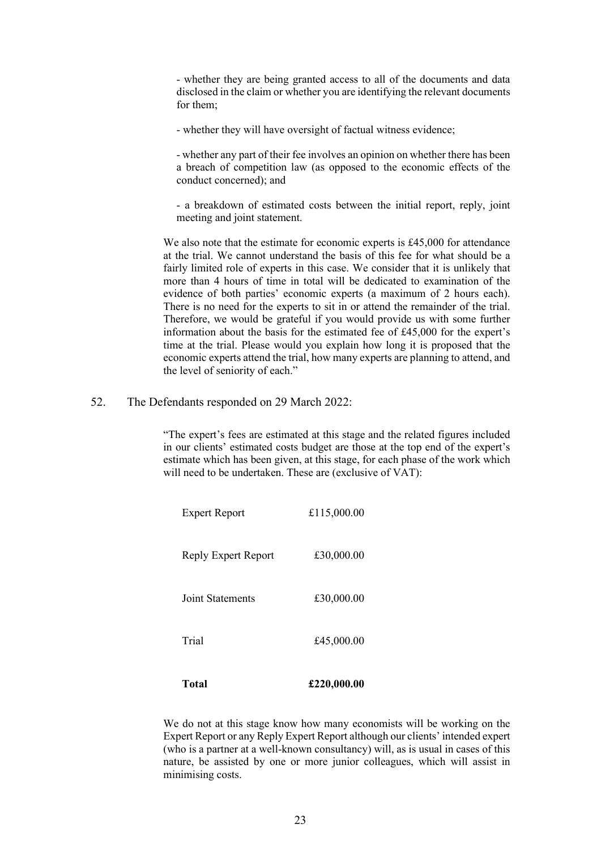- whether they are being granted access to all of the documents and data disclosed in the claim or whether you are identifying the relevant documents for them;

- whether they will have oversight of factual witness evidence;

- whether any part of their fee involves an opinion on whether there has been a breach of competition law (as opposed to the economic effects of the conduct concerned); and

- a breakdown of estimated costs between the initial report, reply, joint meeting and joint statement.

We also note that the estimate for economic experts is £45,000 for attendance at the trial. We cannot understand the basis of this fee for what should be a fairly limited role of experts in this case. We consider that it is unlikely that more than 4 hours of time in total will be dedicated to examination of the evidence of both parties' economic experts (a maximum of 2 hours each). There is no need for the experts to sit in or attend the remainder of the trial. Therefore, we would be grateful if you would provide us with some further information about the basis for the estimated fee of £45,000 for the expert's time at the trial. Please would you explain how long it is proposed that the economic experts attend the trial, how many experts are planning to attend, and the level of seniority of each."

52. The Defendants responded on 29 March 2022:

"The expert's fees are estimated at this stage and the related figures included in our clients' estimated costs budget are those at the top end of the expert's estimate which has been given, at this stage, for each phase of the work which will need to be undertaken. These are (exclusive of VAT):

| Total                   | £220,000.00 |
|-------------------------|-------------|
| Trial                   | £45,000.00  |
| <b>Joint Statements</b> | £30,000.00  |
| Reply Expert Report     | £30,000.00  |
| <b>Expert Report</b>    | £115,000.00 |

We do not at this stage know how many economists will be working on the Expert Report or any Reply Expert Report although our clients' intended expert (who is a partner at a well-known consultancy) will, as is usual in cases of this nature, be assisted by one or more junior colleagues, which will assist in minimising costs.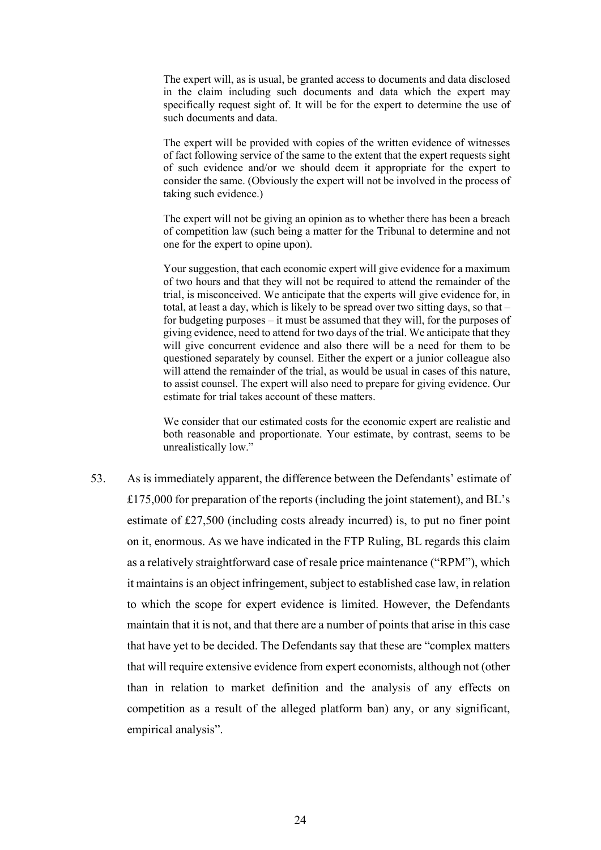The expert will, as is usual, be granted access to documents and data disclosed in the claim including such documents and data which the expert may specifically request sight of. It will be for the expert to determine the use of such documents and data.

The expert will be provided with copies of the written evidence of witnesses of fact following service of the same to the extent that the expert requests sight of such evidence and/or we should deem it appropriate for the expert to consider the same. (Obviously the expert will not be involved in the process of taking such evidence.)

The expert will not be giving an opinion as to whether there has been a breach of competition law (such being a matter for the Tribunal to determine and not one for the expert to opine upon).

Your suggestion, that each economic expert will give evidence for a maximum of two hours and that they will not be required to attend the remainder of the trial, is misconceived. We anticipate that the experts will give evidence for, in total, at least a day, which is likely to be spread over two sitting days, so that – for budgeting purposes – it must be assumed that they will, for the purposes of giving evidence, need to attend for two days of the trial. We anticipate that they will give concurrent evidence and also there will be a need for them to be questioned separately by counsel. Either the expert or a junior colleague also will attend the remainder of the trial, as would be usual in cases of this nature, to assist counsel. The expert will also need to prepare for giving evidence. Our estimate for trial takes account of these matters.

We consider that our estimated costs for the economic expert are realistic and both reasonable and proportionate. Your estimate, by contrast, seems to be unrealistically low."

53. As is immediately apparent, the difference between the Defendants' estimate of £175,000 for preparation of the reports (including the joint statement), and BL's estimate of £27,500 (including costs already incurred) is, to put no finer point on it, enormous. As we have indicated in the FTP Ruling, BL regards this claim as a relatively straightforward case of resale price maintenance ("RPM"), which it maintains is an object infringement, subject to established case law, in relation to which the scope for expert evidence is limited. However, the Defendants maintain that it is not, and that there are a number of points that arise in this case that have yet to be decided. The Defendants say that these are "complex matters that will require extensive evidence from expert economists, although not (other than in relation to market definition and the analysis of any effects on competition as a result of the alleged platform ban) any, or any significant, empirical analysis".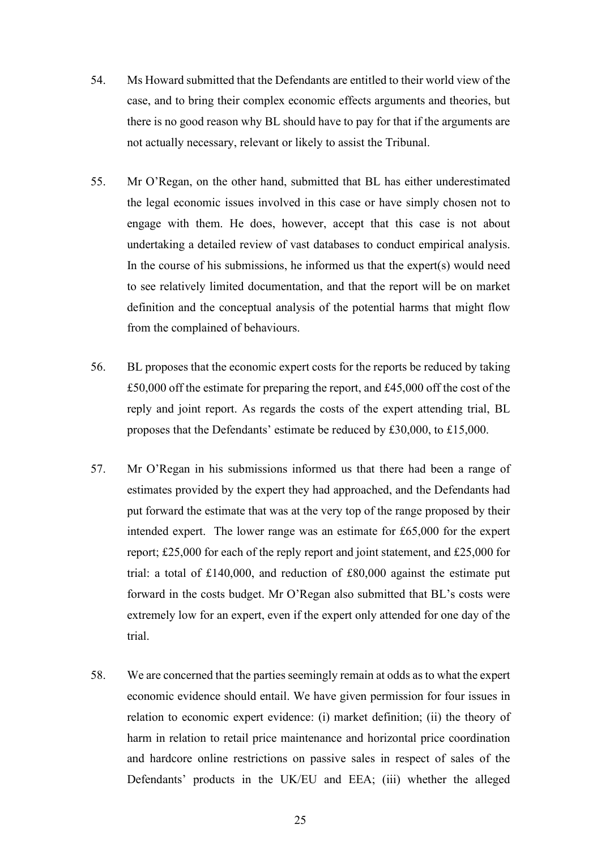- 54. Ms Howard submitted that the Defendants are entitled to their world view of the case, and to bring their complex economic effects arguments and theories, but there is no good reason why BL should have to pay for that if the arguments are not actually necessary, relevant or likely to assist the Tribunal.
- 55. Mr O'Regan, on the other hand, submitted that BL has either underestimated the legal economic issues involved in this case or have simply chosen not to engage with them. He does, however, accept that this case is not about undertaking a detailed review of vast databases to conduct empirical analysis. In the course of his submissions, he informed us that the expert $(s)$  would need to see relatively limited documentation, and that the report will be on market definition and the conceptual analysis of the potential harms that might flow from the complained of behaviours.
- 56. BL proposes that the economic expert costs for the reports be reduced by taking £50,000 off the estimate for preparing the report, and £45,000 off the cost of the reply and joint report. As regards the costs of the expert attending trial, BL proposes that the Defendants' estimate be reduced by £30,000, to £15,000.
- 57. Mr O'Regan in his submissions informed us that there had been a range of estimates provided by the expert they had approached, and the Defendants had put forward the estimate that was at the very top of the range proposed by their intended expert. The lower range was an estimate for £65,000 for the expert report; £25,000 for each of the reply report and joint statement, and £25,000 for trial: a total of £140,000, and reduction of £80,000 against the estimate put forward in the costs budget. Mr O'Regan also submitted that BL's costs were extremely low for an expert, even if the expert only attended for one day of the trial.
- 58. We are concerned that the parties seemingly remain at odds as to what the expert economic evidence should entail. We have given permission for four issues in relation to economic expert evidence: (i) market definition; (ii) the theory of harm in relation to retail price maintenance and horizontal price coordination and hardcore online restrictions on passive sales in respect of sales of the Defendants' products in the UK/EU and EEA; (iii) whether the alleged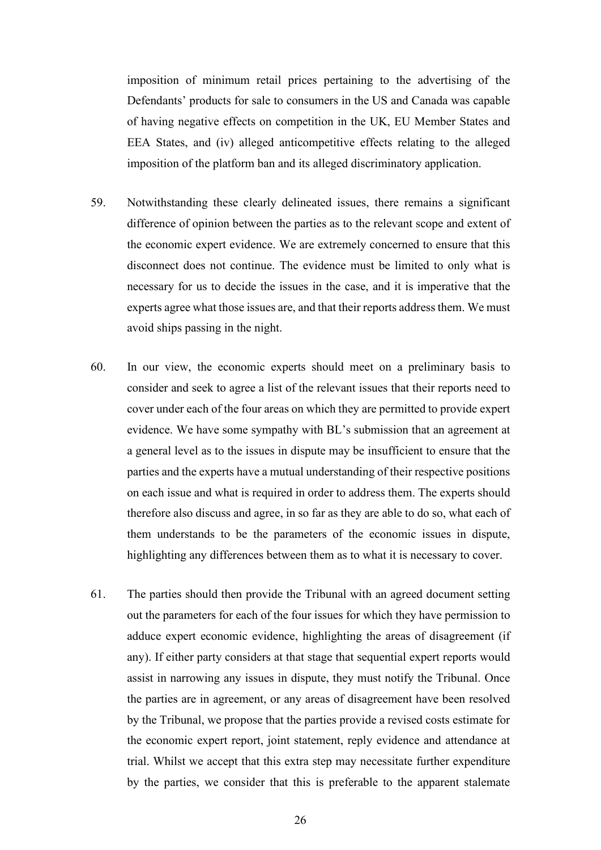imposition of minimum retail prices pertaining to the advertising of the Defendants' products for sale to consumers in the US and Canada was capable of having negative effects on competition in the UK, EU Member States and EEA States, and (iv) alleged anticompetitive effects relating to the alleged imposition of the platform ban and its alleged discriminatory application.

- 59. Notwithstanding these clearly delineated issues, there remains a significant difference of opinion between the parties as to the relevant scope and extent of the economic expert evidence. We are extremely concerned to ensure that this disconnect does not continue. The evidence must be limited to only what is necessary for us to decide the issues in the case, and it is imperative that the experts agree what those issues are, and that their reports address them. We must avoid ships passing in the night.
- 60. In our view, the economic experts should meet on a preliminary basis to consider and seek to agree a list of the relevant issues that their reports need to cover under each of the four areas on which they are permitted to provide expert evidence. We have some sympathy with BL's submission that an agreement at a general level as to the issues in dispute may be insufficient to ensure that the parties and the experts have a mutual understanding of their respective positions on each issue and what is required in order to address them. The experts should therefore also discuss and agree, in so far as they are able to do so, what each of them understands to be the parameters of the economic issues in dispute, highlighting any differences between them as to what it is necessary to cover.
- 61. The parties should then provide the Tribunal with an agreed document setting out the parameters for each of the four issues for which they have permission to adduce expert economic evidence, highlighting the areas of disagreement (if any). If either party considers at that stage that sequential expert reports would assist in narrowing any issues in dispute, they must notify the Tribunal. Once the parties are in agreement, or any areas of disagreement have been resolved by the Tribunal, we propose that the parties provide a revised costs estimate for the economic expert report, joint statement, reply evidence and attendance at trial. Whilst we accept that this extra step may necessitate further expenditure by the parties, we consider that this is preferable to the apparent stalemate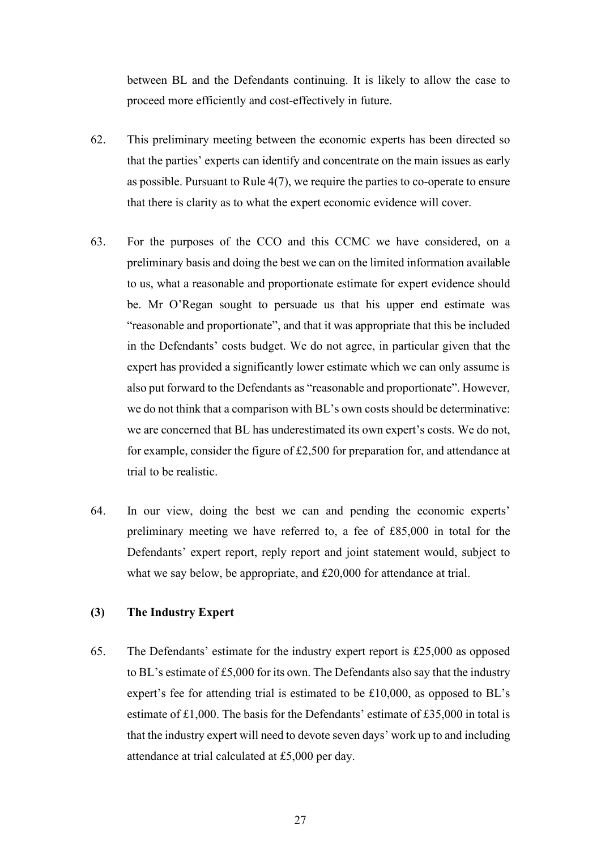between BL and the Defendants continuing. It is likely to allow the case to proceed more efficiently and cost-effectively in future.

- 62. This preliminary meeting between the economic experts has been directed so that the parties' experts can identify and concentrate on the main issues as early as possible. Pursuant to Rule 4(7), we require the parties to co-operate to ensure that there is clarity as to what the expert economic evidence will cover.
- 63. For the purposes of the CCO and this CCMC we have considered, on a preliminary basis and doing the best we can on the limited information available to us, what a reasonable and proportionate estimate for expert evidence should be. Mr O'Regan sought to persuade us that his upper end estimate was "reasonable and proportionate", and that it was appropriate that this be included in the Defendants' costs budget. We do not agree, in particular given that the expert has provided a significantly lower estimate which we can only assume is also put forward to the Defendants as "reasonable and proportionate". However, we do not think that a comparison with BL's own costs should be determinative: we are concerned that BL has underestimated its own expert's costs. We do not, for example, consider the figure of £2,500 for preparation for, and attendance at trial to be realistic.
- 64. In our view, doing the best we can and pending the economic experts' preliminary meeting we have referred to, a fee of £85,000 in total for the Defendants' expert report, reply report and joint statement would, subject to what we say below, be appropriate, and £20,000 for attendance at trial.

#### **(3) The Industry Expert**

65. The Defendants' estimate for the industry expert report is £25,000 as opposed to BL's estimate of £5,000 for its own. The Defendants also say that the industry expert's fee for attending trial is estimated to be £10,000, as opposed to BL's estimate of  $£1,000$ . The basis for the Defendants' estimate of £35,000 in total is that the industry expert will need to devote seven days' work up to and including attendance at trial calculated at £5,000 per day.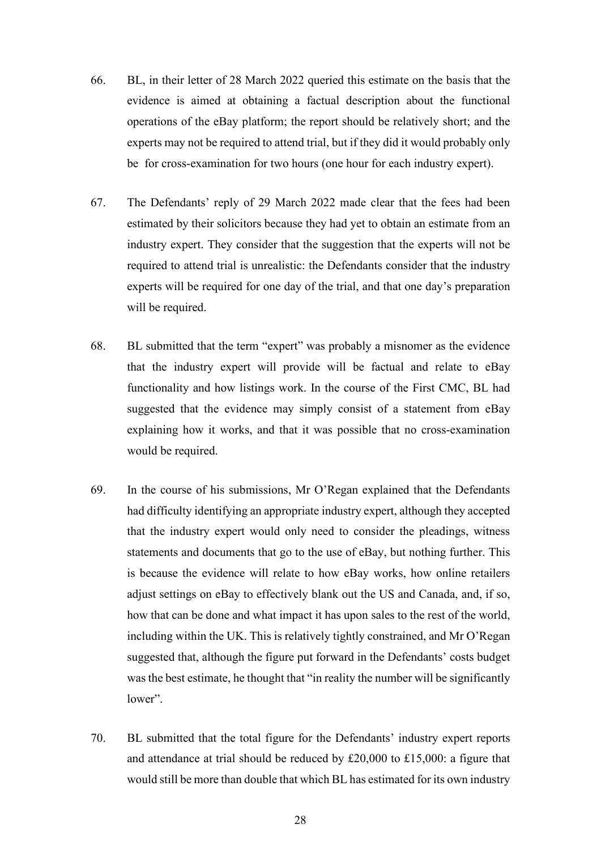- 66. BL, in their letter of 28 March 2022 queried this estimate on the basis that the evidence is aimed at obtaining a factual description about the functional operations of the eBay platform; the report should be relatively short; and the experts may not be required to attend trial, but if they did it would probably only be for cross-examination for two hours (one hour for each industry expert).
- 67. The Defendants' reply of 29 March 2022 made clear that the fees had been estimated by their solicitors because they had yet to obtain an estimate from an industry expert. They consider that the suggestion that the experts will not be required to attend trial is unrealistic: the Defendants consider that the industry experts will be required for one day of the trial, and that one day's preparation will be required.
- 68. BL submitted that the term "expert" was probably a misnomer as the evidence that the industry expert will provide will be factual and relate to eBay functionality and how listings work. In the course of the First CMC, BL had suggested that the evidence may simply consist of a statement from eBay explaining how it works, and that it was possible that no cross-examination would be required.
- 69. In the course of his submissions, Mr O'Regan explained that the Defendants had difficulty identifying an appropriate industry expert, although they accepted that the industry expert would only need to consider the pleadings, witness statements and documents that go to the use of eBay, but nothing further. This is because the evidence will relate to how eBay works, how online retailers adjust settings on eBay to effectively blank out the US and Canada, and, if so, how that can be done and what impact it has upon sales to the rest of the world, including within the UK. This is relatively tightly constrained, and Mr O'Regan suggested that, although the figure put forward in the Defendants' costs budget was the best estimate, he thought that "in reality the number will be significantly lower".
- 70. BL submitted that the total figure for the Defendants' industry expert reports and attendance at trial should be reduced by £20,000 to £15,000: a figure that would still be more than double that which BL has estimated for its own industry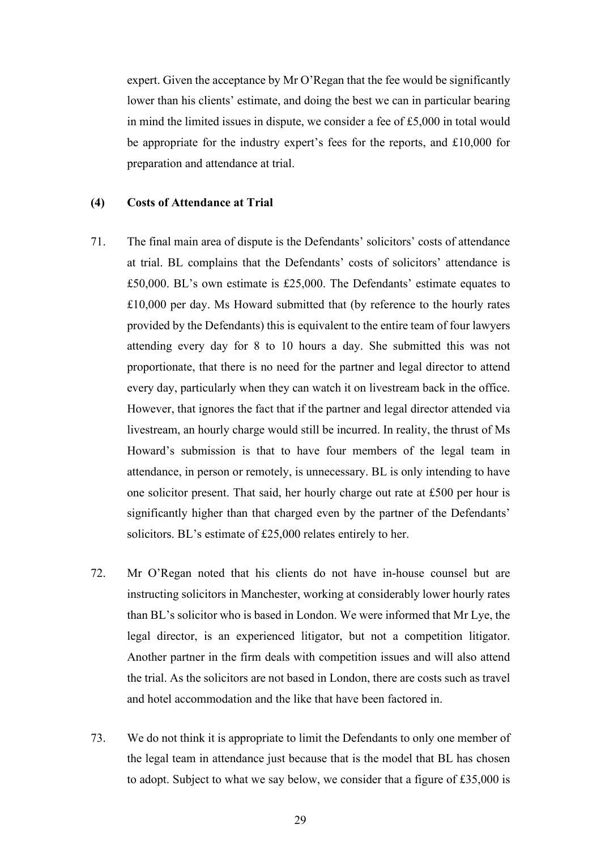expert. Given the acceptance by Mr O'Regan that the fee would be significantly lower than his clients' estimate, and doing the best we can in particular bearing in mind the limited issues in dispute, we consider a fee of £5,000 in total would be appropriate for the industry expert's fees for the reports, and £10,000 for preparation and attendance at trial.

#### **(4) Costs of Attendance at Trial**

- 71. The final main area of dispute is the Defendants' solicitors' costs of attendance at trial. BL complains that the Defendants' costs of solicitors' attendance is £50,000. BL's own estimate is £25,000. The Defendants' estimate equates to £10,000 per day. Ms Howard submitted that (by reference to the hourly rates provided by the Defendants) this is equivalent to the entire team of four lawyers attending every day for 8 to 10 hours a day. She submitted this was not proportionate, that there is no need for the partner and legal director to attend every day, particularly when they can watch it on livestream back in the office. However, that ignores the fact that if the partner and legal director attended via livestream, an hourly charge would still be incurred. In reality, the thrust of Ms Howard's submission is that to have four members of the legal team in attendance, in person or remotely, is unnecessary. BL is only intending to have one solicitor present. That said, her hourly charge out rate at £500 per hour is significantly higher than that charged even by the partner of the Defendants' solicitors. BL's estimate of £25,000 relates entirely to her.
- 72. Mr O'Regan noted that his clients do not have in-house counsel but are instructing solicitors in Manchester, working at considerably lower hourly rates than BL's solicitor who is based in London. We were informed that Mr Lye, the legal director, is an experienced litigator, but not a competition litigator. Another partner in the firm deals with competition issues and will also attend the trial. As the solicitors are not based in London, there are costs such as travel and hotel accommodation and the like that have been factored in.
- 73. We do not think it is appropriate to limit the Defendants to only one member of the legal team in attendance just because that is the model that BL has chosen to adopt. Subject to what we say below, we consider that a figure of £35,000 is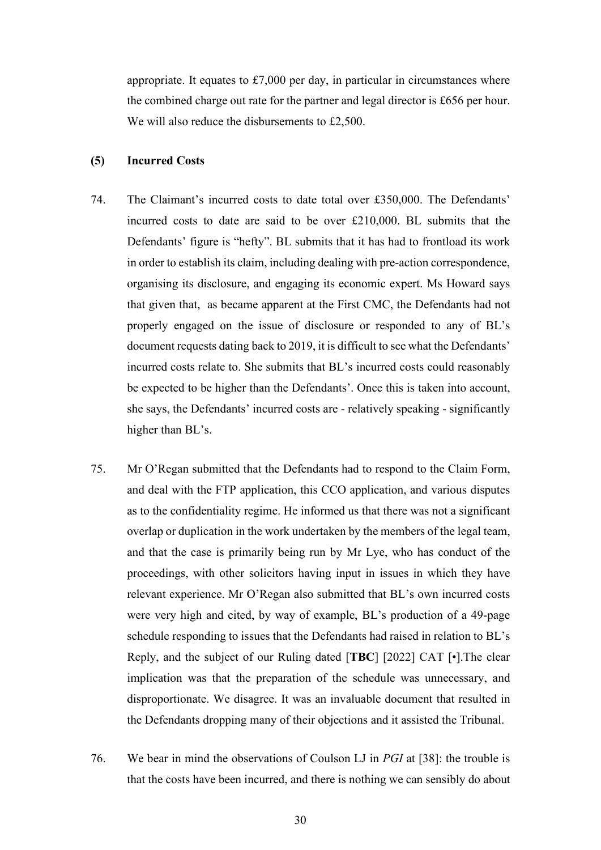appropriate. It equates to  $£7,000$  per day, in particular in circumstances where the combined charge out rate for the partner and legal director is £656 per hour. We will also reduce the disbursements to £2,500.

#### **(5) Incurred Costs**

- 74. The Claimant's incurred costs to date total over £350,000. The Defendants' incurred costs to date are said to be over £210,000. BL submits that the Defendants' figure is "hefty". BL submits that it has had to frontload its work in order to establish its claim, including dealing with pre-action correspondence, organising its disclosure, and engaging its economic expert. Ms Howard says that given that, as became apparent at the First CMC, the Defendants had not properly engaged on the issue of disclosure or responded to any of BL's document requests dating back to 2019, it is difficult to see what the Defendants' incurred costs relate to. She submits that BL's incurred costs could reasonably be expected to be higher than the Defendants'. Once this is taken into account, she says, the Defendants' incurred costs are - relatively speaking - significantly higher than BL's.
- 75. Mr O'Regan submitted that the Defendants had to respond to the Claim Form, and deal with the FTP application, this CCO application, and various disputes as to the confidentiality regime. He informed us that there was not a significant overlap or duplication in the work undertaken by the members of the legal team, and that the case is primarily being run by Mr Lye, who has conduct of the proceedings, with other solicitors having input in issues in which they have relevant experience. Mr O'Regan also submitted that BL's own incurred costs were very high and cited, by way of example, BL's production of a 49-page schedule responding to issues that the Defendants had raised in relation to BL's Reply, and the subject of our Ruling dated [**TBC**] [2022] CAT [•].The clear implication was that the preparation of the schedule was unnecessary, and disproportionate. We disagree. It was an invaluable document that resulted in the Defendants dropping many of their objections and it assisted the Tribunal.
- 76. We bear in mind the observations of Coulson LJ in *PGI* at [38]: the trouble is that the costs have been incurred, and there is nothing we can sensibly do about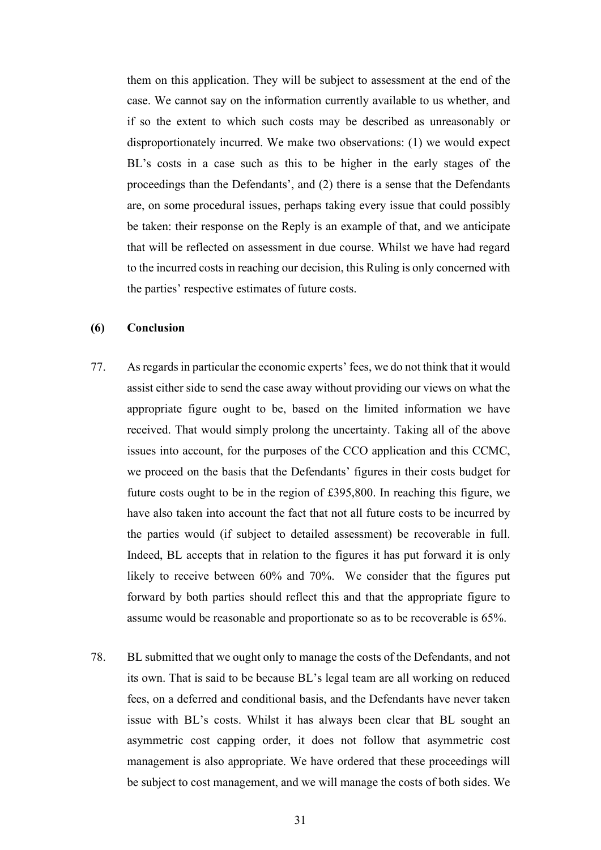them on this application. They will be subject to assessment at the end of the case. We cannot say on the information currently available to us whether, and if so the extent to which such costs may be described as unreasonably or disproportionately incurred. We make two observations: (1) we would expect BL's costs in a case such as this to be higher in the early stages of the proceedings than the Defendants', and (2) there is a sense that the Defendants are, on some procedural issues, perhaps taking every issue that could possibly be taken: their response on the Reply is an example of that, and we anticipate that will be reflected on assessment in due course. Whilst we have had regard to the incurred costs in reaching our decision, this Ruling is only concerned with the parties' respective estimates of future costs.

#### **(6) Conclusion**

- 77. As regards in particular the economic experts' fees, we do not think that it would assist either side to send the case away without providing our views on what the appropriate figure ought to be, based on the limited information we have received. That would simply prolong the uncertainty. Taking all of the above issues into account, for the purposes of the CCO application and this CCMC, we proceed on the basis that the Defendants' figures in their costs budget for future costs ought to be in the region of £395,800. In reaching this figure, we have also taken into account the fact that not all future costs to be incurred by the parties would (if subject to detailed assessment) be recoverable in full. Indeed, BL accepts that in relation to the figures it has put forward it is only likely to receive between 60% and 70%. We consider that the figures put forward by both parties should reflect this and that the appropriate figure to assume would be reasonable and proportionate so as to be recoverable is 65%.
- 78. BL submitted that we ought only to manage the costs of the Defendants, and not its own. That is said to be because BL's legal team are all working on reduced fees, on a deferred and conditional basis, and the Defendants have never taken issue with BL's costs. Whilst it has always been clear that BL sought an asymmetric cost capping order, it does not follow that asymmetric cost management is also appropriate. We have ordered that these proceedings will be subject to cost management, and we will manage the costs of both sides. We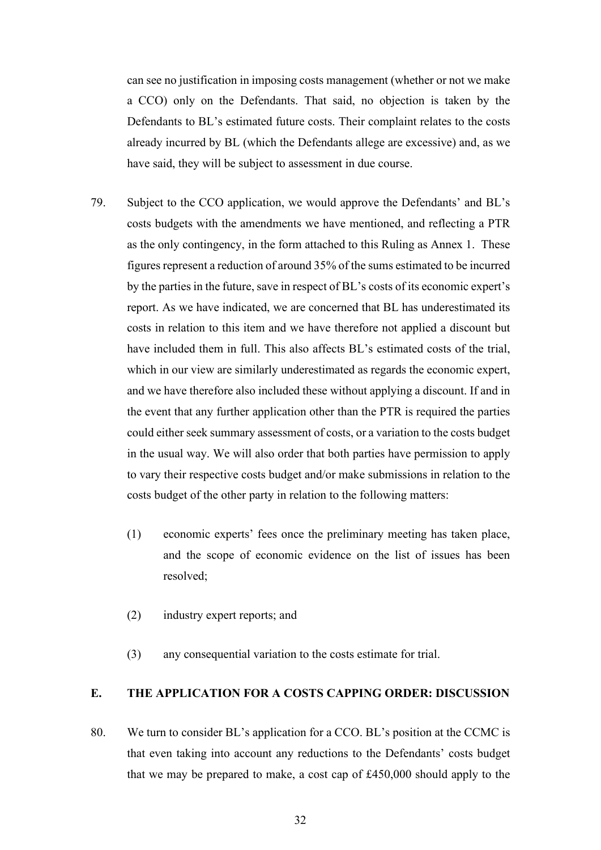can see no justification in imposing costs management (whether or not we make a CCO) only on the Defendants. That said, no objection is taken by the Defendants to BL's estimated future costs. Their complaint relates to the costs already incurred by BL (which the Defendants allege are excessive) and, as we have said, they will be subject to assessment in due course.

- 79. Subject to the CCO application, we would approve the Defendants' and BL's costs budgets with the amendments we have mentioned, and reflecting a PTR as the only contingency, in the form attached to this Ruling as Annex 1. These figures represent a reduction of around 35% of the sums estimated to be incurred by the parties in the future, save in respect of BL's costs of its economic expert's report. As we have indicated, we are concerned that BL has underestimated its costs in relation to this item and we have therefore not applied a discount but have included them in full. This also affects BL's estimated costs of the trial, which in our view are similarly underestimated as regards the economic expert, and we have therefore also included these without applying a discount. If and in the event that any further application other than the PTR is required the parties could either seek summary assessment of costs, or a variation to the costs budget in the usual way. We will also order that both parties have permission to apply to vary their respective costs budget and/or make submissions in relation to the costs budget of the other party in relation to the following matters:
	- (1) economic experts' fees once the preliminary meeting has taken place, and the scope of economic evidence on the list of issues has been resolved;
	- (2) industry expert reports; and
	- (3) any consequential variation to the costs estimate for trial.

## **E. THE APPLICATION FOR A COSTS CAPPING ORDER: DISCUSSION**

80. We turn to consider BL's application for a CCO. BL's position at the CCMC is that even taking into account any reductions to the Defendants' costs budget that we may be prepared to make, a cost cap of £450,000 should apply to the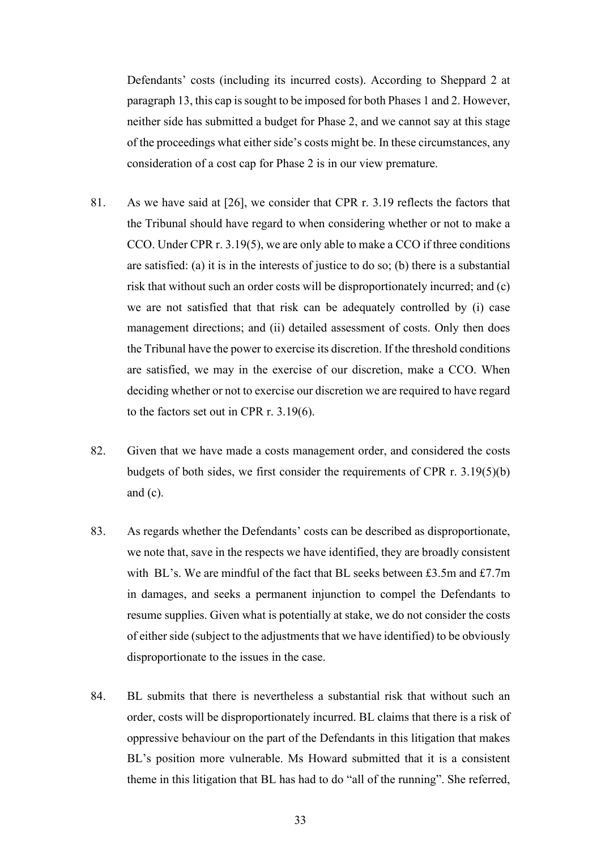Defendants' costs (including its incurred costs). According to Sheppard 2 at paragraph 13, this cap is sought to be imposed for both Phases 1 and 2. However, neither side has submitted a budget for Phase 2, and we cannot say at this stage of the proceedings what either side's costs might be. In these circumstances, any consideration of a cost cap for Phase 2 is in our view premature.

- 81. As we have said at [26], we consider that CPR r. 3.19 reflects the factors that the Tribunal should have regard to when considering whether or not to make a CCO. Under CPR r. 3.19(5), we are only able to make a CCO if three conditions are satisfied: (a) it is in the interests of justice to do so; (b) there is a substantial risk that without such an order costs will be disproportionately incurred; and (c) we are not satisfied that that risk can be adequately controlled by (i) case management directions; and (ii) detailed assessment of costs. Only then does the Tribunal have the power to exercise its discretion. If the threshold conditions are satisfied, we may in the exercise of our discretion, make a CCO. When deciding whether or not to exercise our discretion we are required to have regard to the factors set out in CPR r. 3.19(6).
- 82. Given that we have made a costs management order, and considered the costs budgets of both sides, we first consider the requirements of CPR r. 3.19(5)(b) and  $(c)$ .
- 83. As regards whether the Defendants' costs can be described as disproportionate, we note that, save in the respects we have identified, they are broadly consistent with BL's. We are mindful of the fact that BL seeks between £3.5m and £7.7m in damages, and seeks a permanent injunction to compel the Defendants to resume supplies. Given what is potentially at stake, we do not consider the costs of either side (subject to the adjustments that we have identified) to be obviously disproportionate to the issues in the case.
- 84. BL submits that there is nevertheless a substantial risk that without such an order, costs will be disproportionately incurred. BL claims that there is a risk of oppressive behaviour on the part of the Defendants in this litigation that makes BL's position more vulnerable. Ms Howard submitted that it is a consistent theme in this litigation that BL has had to do "all of the running". She referred,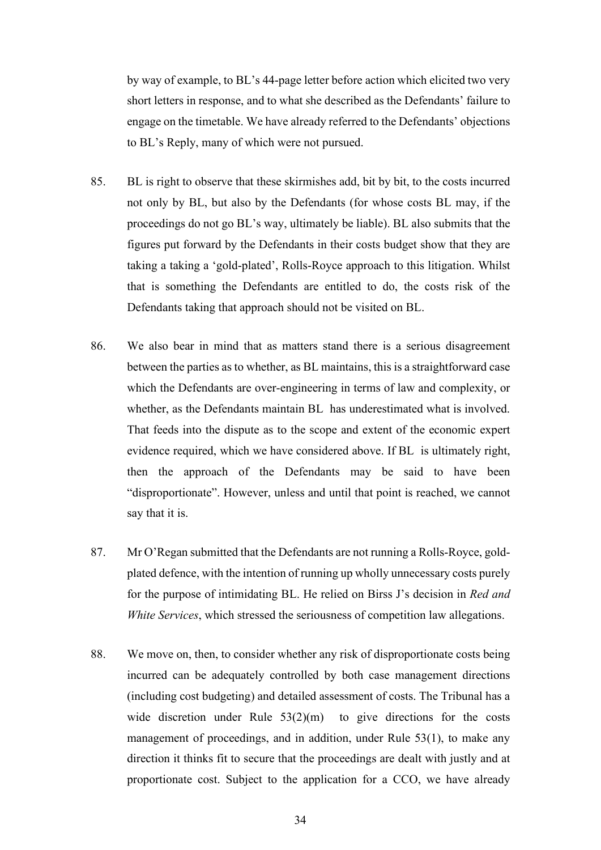by way of example, to BL's 44-page letter before action which elicited two very short letters in response, and to what she described as the Defendants' failure to engage on the timetable. We have already referred to the Defendants' objections to BL's Reply, many of which were not pursued.

- 85. BL is right to observe that these skirmishes add, bit by bit, to the costs incurred not only by BL, but also by the Defendants (for whose costs BL may, if the proceedings do not go BL's way, ultimately be liable). BL also submits that the figures put forward by the Defendants in their costs budget show that they are taking a taking a 'gold-plated', Rolls-Royce approach to this litigation. Whilst that is something the Defendants are entitled to do, the costs risk of the Defendants taking that approach should not be visited on BL.
- 86. We also bear in mind that as matters stand there is a serious disagreement between the parties as to whether, as BL maintains, this is a straightforward case which the Defendants are over-engineering in terms of law and complexity, or whether, as the Defendants maintain BL has underestimated what is involved. That feeds into the dispute as to the scope and extent of the economic expert evidence required, which we have considered above. If BL is ultimately right, then the approach of the Defendants may be said to have been "disproportionate". However, unless and until that point is reached, we cannot say that it is.
- 87. Mr O'Regan submitted that the Defendants are not running a Rolls-Royce, goldplated defence, with the intention of running up wholly unnecessary costs purely for the purpose of intimidating BL. He relied on Birss J's decision in *Red and White Services*, which stressed the seriousness of competition law allegations.
- 88. We move on, then, to consider whether any risk of disproportionate costs being incurred can be adequately controlled by both case management directions (including cost budgeting) and detailed assessment of costs. The Tribunal has a wide discretion under Rule  $53(2)(m)$  to give directions for the costs management of proceedings, and in addition, under Rule 53(1), to make any direction it thinks fit to secure that the proceedings are dealt with justly and at proportionate cost. Subject to the application for a CCO, we have already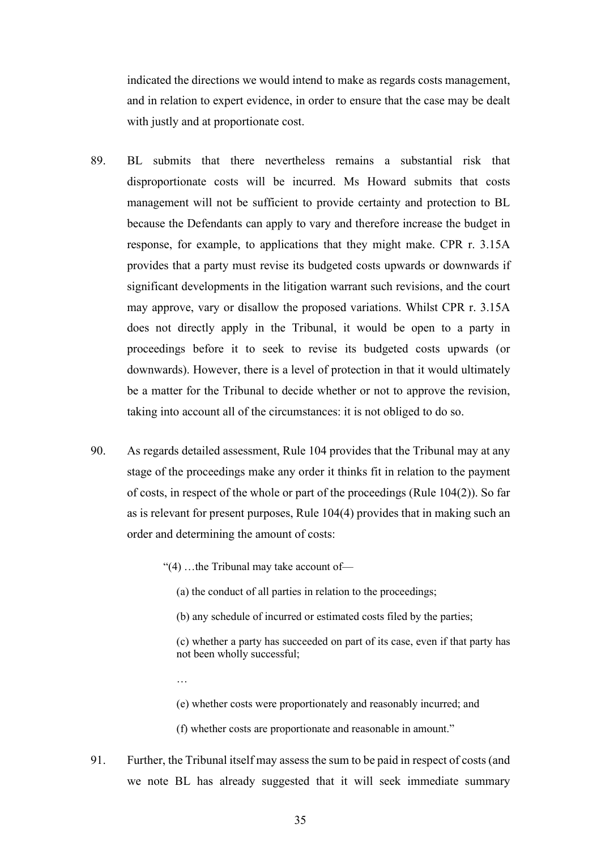indicated the directions we would intend to make as regards costs management, and in relation to expert evidence, in order to ensure that the case may be dealt with justly and at proportionate cost.

- 89. BL submits that there nevertheless remains a substantial risk that disproportionate costs will be incurred. Ms Howard submits that costs management will not be sufficient to provide certainty and protection to BL because the Defendants can apply to vary and therefore increase the budget in response, for example, to applications that they might make. CPR r. 3.15A provides that a party must revise its budgeted costs upwards or downwards if significant developments in the litigation warrant such revisions, and the court may approve, vary or disallow the proposed variations. Whilst CPR r. 3.15A does not directly apply in the Tribunal, it would be open to a party in proceedings before it to seek to revise its budgeted costs upwards (or downwards). However, there is a level of protection in that it would ultimately be a matter for the Tribunal to decide whether or not to approve the revision, taking into account all of the circumstances: it is not obliged to do so.
- 90. As regards detailed assessment, Rule 104 provides that the Tribunal may at any stage of the proceedings make any order it thinks fit in relation to the payment of costs, in respect of the whole or part of the proceedings (Rule  $104(2)$ ). So far as is relevant for present purposes, Rule 104(4) provides that in making such an order and determining the amount of costs:
	- "(4) …the Tribunal may take account of—

…

- (a) the conduct of all parties in relation to the proceedings;
- (b) any schedule of incurred or estimated costs filed by the parties;
- (c) whether a party has succeeded on part of its case, even if that party has not been wholly successful;
- (e) whether costs were proportionately and reasonably incurred; and
- (f) whether costs are proportionate and reasonable in amount."
- 91. Further, the Tribunal itself may assess the sum to be paid in respect of costs (and we note BL has already suggested that it will seek immediate summary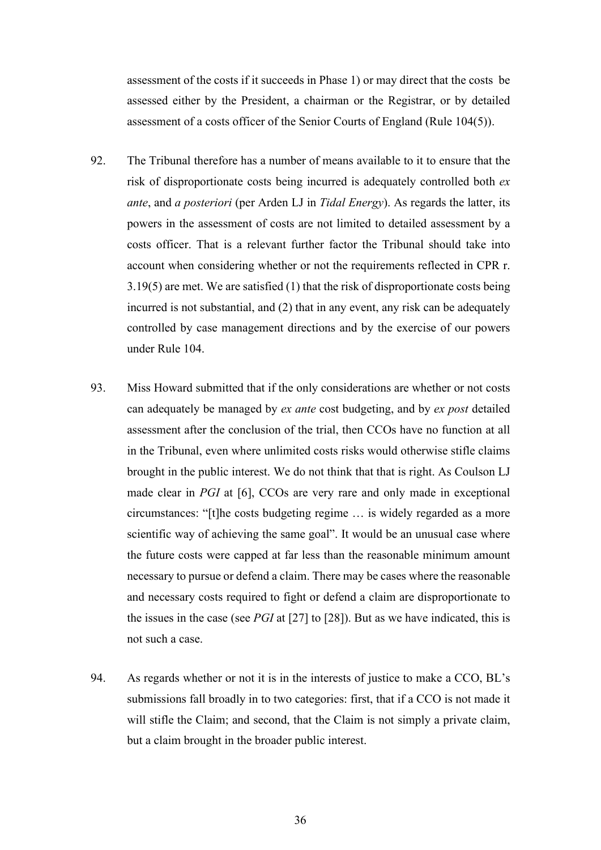assessment of the costs if it succeeds in Phase 1) or may direct that the costs be assessed either by the President, a chairman or the Registrar, or by detailed assessment of a costs officer of the Senior Courts of England (Rule 104(5)).

- 92. The Tribunal therefore has a number of means available to it to ensure that the risk of disproportionate costs being incurred is adequately controlled both *ex ante*, and *a posteriori* (per Arden LJ in *Tidal Energy*). As regards the latter, its powers in the assessment of costs are not limited to detailed assessment by a costs officer. That is a relevant further factor the Tribunal should take into account when considering whether or not the requirements reflected in CPR r. 3.19(5) are met. We are satisfied (1) that the risk of disproportionate costs being incurred is not substantial, and (2) that in any event, any risk can be adequately controlled by case management directions and by the exercise of our powers under Rule 104.
- 93. Miss Howard submitted that if the only considerations are whether or not costs can adequately be managed by *ex ante* cost budgeting, and by *ex post* detailed assessment after the conclusion of the trial, then CCOs have no function at all in the Tribunal, even where unlimited costs risks would otherwise stifle claims brought in the public interest. We do not think that that is right. As Coulson LJ made clear in *PGI* at [6], CCOs are very rare and only made in exceptional circumstances: "[t]he costs budgeting regime … is widely regarded as a more scientific way of achieving the same goal". It would be an unusual case where the future costs were capped at far less than the reasonable minimum amount necessary to pursue or defend a claim. There may be cases where the reasonable and necessary costs required to fight or defend a claim are disproportionate to the issues in the case (see *PGI* at [27] to [28]). But as we have indicated, this is not such a case.
- 94. As regards whether or not it is in the interests of justice to make a CCO, BL's submissions fall broadly in to two categories: first, that if a CCO is not made it will stifle the Claim; and second, that the Claim is not simply a private claim, but a claim brought in the broader public interest.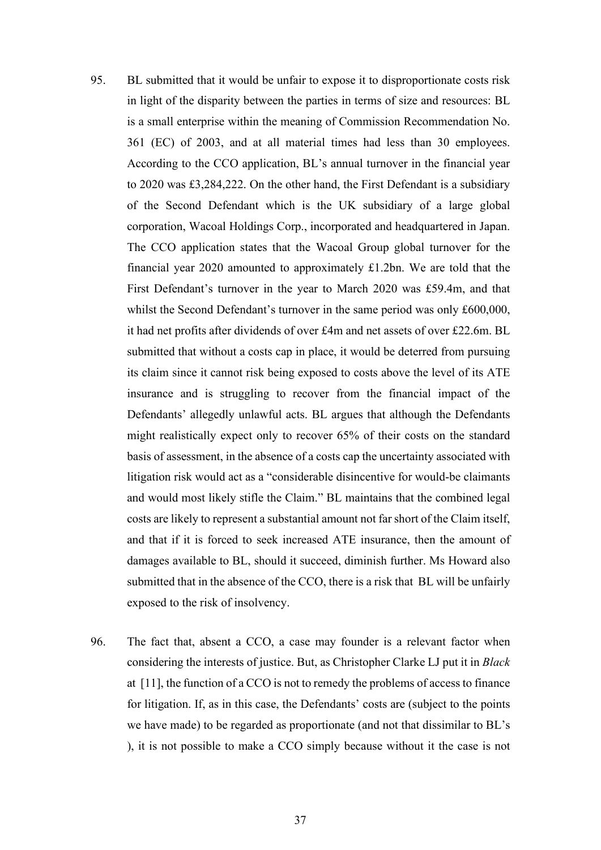- 95. BL submitted that it would be unfair to expose it to disproportionate costs risk in light of the disparity between the parties in terms of size and resources: BL is a small enterprise within the meaning of Commission Recommendation No. 361 (EC) of 2003, and at all material times had less than 30 employees. According to the CCO application, BL's annual turnover in the financial year to 2020 was £3,284,222. On the other hand, the First Defendant is a subsidiary of the Second Defendant which is the UK subsidiary of a large global corporation, Wacoal Holdings Corp., incorporated and headquartered in Japan. The CCO application states that the Wacoal Group global turnover for the financial year 2020 amounted to approximately £1.2bn. We are told that the First Defendant's turnover in the year to March 2020 was £59.4m, and that whilst the Second Defendant's turnover in the same period was only £600,000, it had net profits after dividends of over £4m and net assets of over £22.6m. BL submitted that without a costs cap in place, it would be deterred from pursuing its claim since it cannot risk being exposed to costs above the level of its ATE insurance and is struggling to recover from the financial impact of the Defendants' allegedly unlawful acts. BL argues that although the Defendants might realistically expect only to recover 65% of their costs on the standard basis of assessment, in the absence of a costs cap the uncertainty associated with litigation risk would act as a "considerable disincentive for would-be claimants and would most likely stifle the Claim." BL maintains that the combined legal costs are likely to represent a substantial amount not far short of the Claim itself, and that if it is forced to seek increased ATE insurance, then the amount of damages available to BL, should it succeed, diminish further. Ms Howard also submitted that in the absence of the CCO, there is a risk that BL will be unfairly exposed to the risk of insolvency.
- 96. The fact that, absent a CCO, a case may founder is a relevant factor when considering the interests of justice. But, as Christopher Clarke LJ put it in *Black*  at [11], the function of a CCO is not to remedy the problems of access to finance for litigation. If, as in this case, the Defendants' costs are (subject to the points we have made) to be regarded as proportionate (and not that dissimilar to BL's ), it is not possible to make a CCO simply because without it the case is not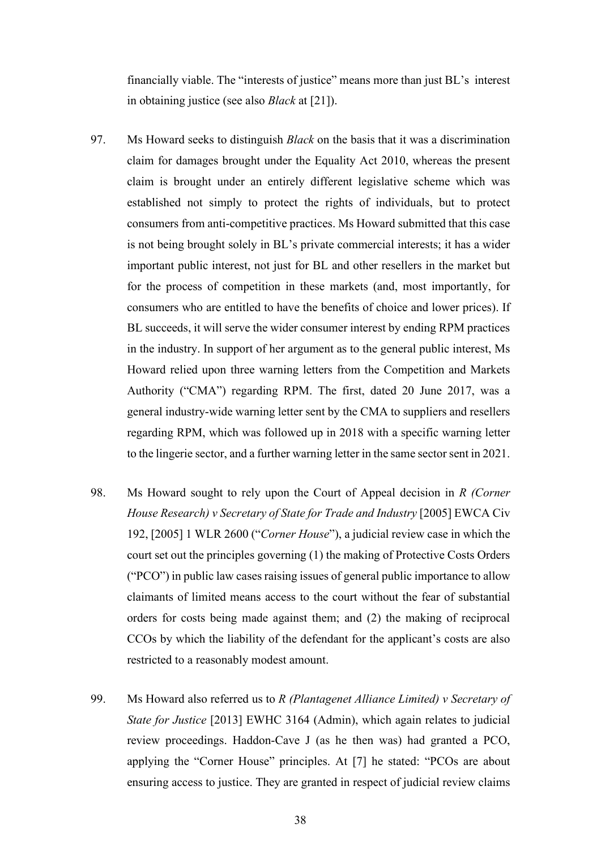financially viable. The "interests of justice" means more than just BL's interest in obtaining justice (see also *Black* at [21]).

- 97. Ms Howard seeks to distinguish *Black* on the basis that it was a discrimination claim for damages brought under the Equality Act 2010, whereas the present claim is brought under an entirely different legislative scheme which was established not simply to protect the rights of individuals, but to protect consumers from anti-competitive practices. Ms Howard submitted that this case is not being brought solely in BL's private commercial interests; it has a wider important public interest, not just for BL and other resellers in the market but for the process of competition in these markets (and, most importantly, for consumers who are entitled to have the benefits of choice and lower prices). If BL succeeds, it will serve the wider consumer interest by ending RPM practices in the industry. In support of her argument as to the general public interest, Ms Howard relied upon three warning letters from the Competition and Markets Authority ("CMA") regarding RPM. The first, dated 20 June 2017, was a general industry-wide warning letter sent by the CMA to suppliers and resellers regarding RPM, which was followed up in 2018 with a specific warning letter to the lingerie sector, and a further warning letter in the same sector sent in 2021.
- 98. Ms Howard sought to rely upon the Court of Appeal decision in *R (Corner House Research) v Secretary of State for Trade and Industry* [2005] EWCA Civ 192, [2005] 1 WLR 2600 ("*Corner House*"), a judicial review case in which the court set out the principles governing (1) the making of Protective Costs Orders ("PCO") in public law cases raising issues of general public importance to allow claimants of limited means access to the court without the fear of substantial orders for costs being made against them; and (2) the making of reciprocal CCOs by which the liability of the defendant for the applicant's costs are also restricted to a reasonably modest amount.
- 99. Ms Howard also referred us to *R (Plantagenet Alliance Limited) v Secretary of State for Justice* [2013] EWHC 3164 (Admin), which again relates to judicial review proceedings. Haddon-Cave J (as he then was) had granted a PCO, applying the "Corner House" principles. At [7] he stated: "PCOs are about ensuring access to justice. They are granted in respect of judicial review claims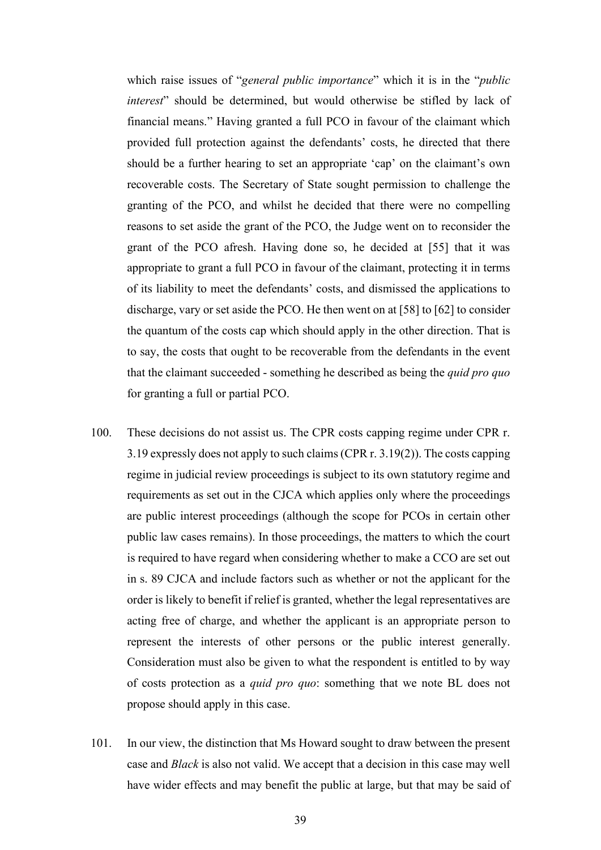which raise issues of "*general public importance*" which it is in the "*public interest*" should be determined, but would otherwise be stifled by lack of financial means." Having granted a full PCO in favour of the claimant which provided full protection against the defendants' costs, he directed that there should be a further hearing to set an appropriate 'cap' on the claimant's own recoverable costs. The Secretary of State sought permission to challenge the granting of the PCO, and whilst he decided that there were no compelling reasons to set aside the grant of the PCO, the Judge went on to reconsider the grant of the PCO afresh. Having done so, he decided at [55] that it was appropriate to grant a full PCO in favour of the claimant, protecting it in terms of its liability to meet the defendants' costs, and dismissed the applications to discharge, vary or set aside the PCO. He then went on at [58] to [62] to consider the quantum of the costs cap which should apply in the other direction. That is to say, the costs that ought to be recoverable from the defendants in the event that the claimant succeeded - something he described as being the *quid pro quo* for granting a full or partial PCO.

- 100. These decisions do not assist us. The CPR costs capping regime under CPR r. 3.19 expressly does not apply to such claims (CPR r. 3.19(2)). The costs capping regime in judicial review proceedings is subject to its own statutory regime and requirements as set out in the CJCA which applies only where the proceedings are public interest proceedings (although the scope for PCOs in certain other public law cases remains). In those proceedings, the matters to which the court is required to have regard when considering whether to make a CCO are set out in s. 89 CJCA and include factors such as whether or not the applicant for the order is likely to benefit if relief is granted, whether the legal representatives are acting free of charge, and whether the applicant is an appropriate person to represent the interests of other persons or the public interest generally. Consideration must also be given to what the respondent is entitled to by way of costs protection as a *quid pro quo*: something that we note BL does not propose should apply in this case.
- 101. In our view, the distinction that Ms Howard sought to draw between the present case and *Black* is also not valid. We accept that a decision in this case may well have wider effects and may benefit the public at large, but that may be said of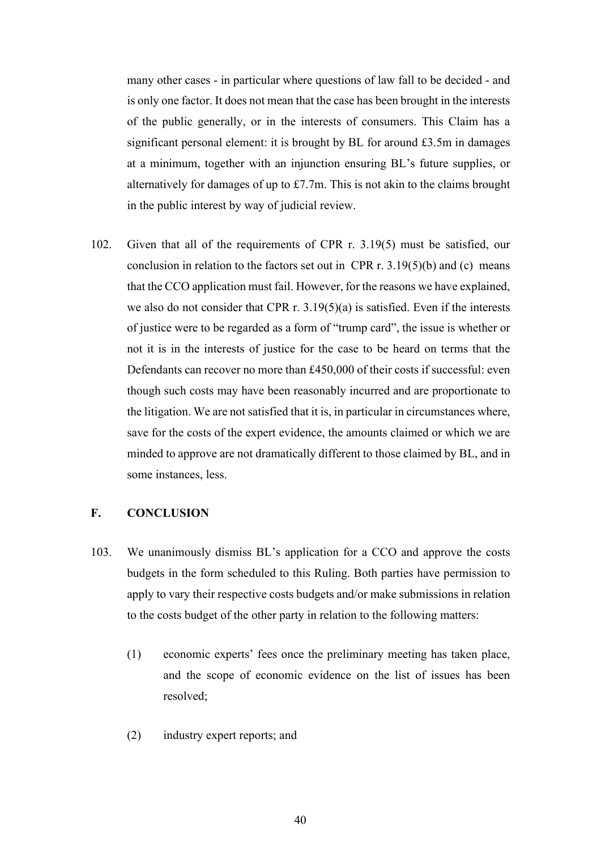many other cases - in particular where questions of law fall to be decided - and is only one factor. It does not mean that the case has been brought in the interests of the public generally, or in the interests of consumers. This Claim has a significant personal element: it is brought by BL for around £3.5m in damages at a minimum, together with an injunction ensuring BL's future supplies, or alternatively for damages of up to £7.7m. This is not akin to the claims brought in the public interest by way of judicial review.

102. Given that all of the requirements of CPR r. 3.19(5) must be satisfied, our conclusion in relation to the factors set out in CPR r.  $3.19(5)(b)$  and (c) means that the CCO application must fail. However, for the reasons we have explained, we also do not consider that CPR r. 3.19(5)(a) is satisfied. Even if the interests of justice were to be regarded as a form of "trump card", the issue is whether or not it is in the interests of justice for the case to be heard on terms that the Defendants can recover no more than £450,000 of their costs if successful: even though such costs may have been reasonably incurred and are proportionate to the litigation. We are not satisfied that it is, in particular in circumstances where, save for the costs of the expert evidence, the amounts claimed or which we are minded to approve are not dramatically different to those claimed by BL, and in some instances, less.

## **F. CONCLUSION**

- 103. We unanimously dismiss BL's application for a CCO and approve the costs budgets in the form scheduled to this Ruling. Both parties have permission to apply to vary their respective costs budgets and/or make submissions in relation to the costs budget of the other party in relation to the following matters:
	- (1) economic experts' fees once the preliminary meeting has taken place, and the scope of economic evidence on the list of issues has been resolved;
	- (2) industry expert reports; and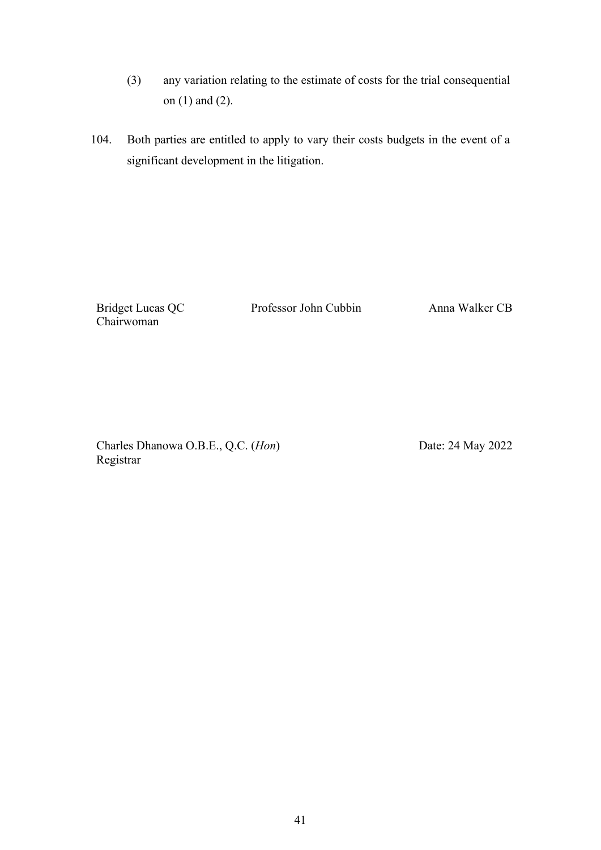- (3) any variation relating to the estimate of costs for the trial consequential on (1) and (2).
- 104. Both parties are entitled to apply to vary their costs budgets in the event of a significant development in the litigation.

Bridget Lucas QC Chairwoman

Professor John Cubbin Anna Walker CB

Charles Dhanowa O.B.E., Q.C. (*Hon*) Registrar

Date: 24 May 2022